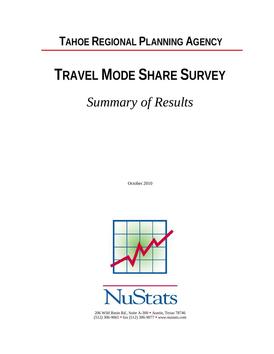# **TAHOE REGIONAL PLANNING AGENCY**

# **TRAVEL MODE SHARE SURVEY**

# *Summary of Results*

October 2010





206 Wild Basin Rd., Suite A-300 Austin, Texas 78746 (512) 306-9065 fax (512) 306-9077 *www.nustats.com*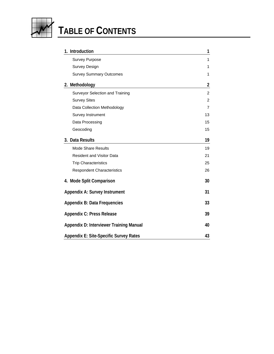

# **TABLE OF CONTENTS**

| 1. Introduction                               | 1              |
|-----------------------------------------------|----------------|
| <b>Survey Purpose</b>                         | 1              |
| <b>Survey Design</b>                          | 1              |
| <b>Survey Summary Outcomes</b>                | 1              |
| 2. Methodology                                | $\overline{2}$ |
| Surveyor Selection and Training               | $\overline{c}$ |
| <b>Survey Sites</b>                           | $\overline{2}$ |
| Data Collection Methodology                   | 7              |
| Survey Instrument                             | 13             |
| Data Processing                               | 15             |
| Geocoding                                     | 15             |
| 3. Data Results                               | 19             |
| <b>Mode Share Results</b>                     | 19             |
| Resident and Visitor Data                     | 21             |
| <b>Trip Characteristics</b>                   | 25             |
| <b>Respondent Characteristics</b>             | 26             |
| 4. Mode Split Comparison                      | 30             |
| Appendix A: Survey Instrument                 | 31             |
| <b>Appendix B: Data Frequencies</b>           | 33             |
| <b>Appendix C: Press Release</b>              | 39             |
| Appendix D: Interviewer Training Manual       | 40             |
| <b>Appendix E: Site-Specific Survey Rates</b> | 43             |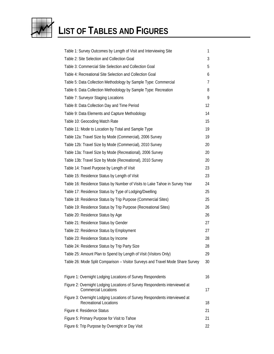

# **LIST OF TABLES AND FIGURES**

| Table 1: Survey Outcomes by Length of Visit and Interviewing Site                                           | 1  |
|-------------------------------------------------------------------------------------------------------------|----|
| Table 2: Site Selection and Collection Goal                                                                 | 3  |
| Table 3: Commercial Site Selection and Collection Goal                                                      | 5  |
| Table 4: Recreational Site Selection and Collection Goal                                                    | 6  |
| Table 5: Data Collection Methodology by Sample Type: Commercial                                             | 7  |
| Table 6: Data Collection Methodology by Sample Type: Recreation                                             | 8  |
| Table 7: Surveyor Staging Locations                                                                         | 9  |
| Table 8: Data Collection Day and Time Period                                                                | 12 |
| Table 9: Data Elements and Capture Methodology                                                              | 14 |
| Table 10: Geocoding Match Rate                                                                              | 15 |
| Table 11: Mode to Location by Total and Sample Type                                                         | 19 |
| Table 12a: Travel Size by Mode (Commercial), 2006 Survey                                                    | 19 |
| Table 12b: Travel Size by Mode (Commercial), 2010 Survey                                                    | 20 |
| Table 13a: Travel Size by Mode (Recreational), 2006 Survey                                                  | 20 |
| Table 13b: Travel Size by Mode (Recreational), 2010 Survey                                                  | 20 |
| Table 14: Travel Purpose by Length of Visit                                                                 | 23 |
| Table 15: Residence Status by Length of Visit                                                               | 23 |
| Table 16: Residence Status by Number of Visits to Lake Tahoe in Survey Year                                 | 24 |
| Table 17: Residence Status by Type of Lodging/Dwelling                                                      | 25 |
| Table 18: Residence Status by Trip Purpose (Commercial Sites)                                               | 25 |
| Table 19: Residence Status by Trip Purpose (Recreational Sites)                                             | 26 |
| Table 20: Residence Status by Age                                                                           | 26 |
| Table 21: Residence Status by Gender                                                                        | 27 |
| Table 22: Residence Status by Employment                                                                    | 27 |
| Table 23: Residence Status by Income                                                                        | 28 |
| Table 24: Residence Status by Trip Party Size                                                               | 28 |
| Table 25: Amount Plan to Spend by Length of Visit (Visitors Only)                                           | 29 |
| Table 26: Mode Split Comparison - Visitor Surveys and Travel Mode Share Survey                              | 30 |
| Figure 1: Overnight Lodging Locations of Survey Respondents                                                 | 16 |
| Figure 2: Overnight Lodging Locations of Survey Respondents interviewed at<br><b>Commercial Locations</b>   | 17 |
| Figure 3: Overnight Lodging Locations of Survey Respondents interviewed at<br><b>Recreational Locations</b> | 18 |
| Figure 4: Residence Status                                                                                  | 21 |
| Figure 5: Primary Purpose for Visit to Tahoe                                                                | 21 |
| Figure 6: Trip Purpose by Overnight or Day Visit                                                            | 22 |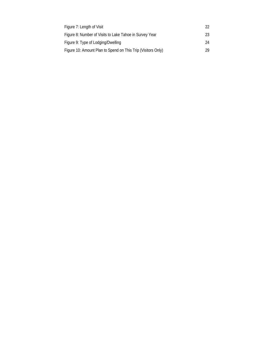| Figure 7: Length of Visit                                    | 22 |
|--------------------------------------------------------------|----|
| Figure 8: Number of Visits to Lake Tahoe in Survey Year      | 23 |
| Figure 9: Type of Lodging/Dwelling                           | 24 |
| Figure 10: Amount Plan to Spend on This Trip (Visitors Only) | 29 |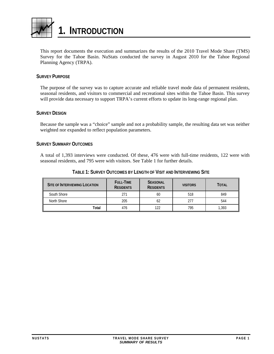<span id="page-4-1"></span><span id="page-4-0"></span>

This report documents the execution and summarizes the results of the 2010 Travel Mode Share (TMS) Survey for the Tahoe Basin. NuStats conducted the survey in August 2010 for the Tahoe Regional Planning Agency (TRPA).

## <span id="page-4-2"></span>**SURVEY PURPOSE**

The purpose of the survey was to capture accurate and reliable travel mode data of permanent residents, seasonal residents, and visitors to commercial and recreational sites within the Tahoe Basin. This survey will provide data necessary to support TRPA's current efforts to update its long-range regional plan.

#### <span id="page-4-3"></span>**SURVEY DESIGN**

Because the sample was a "choice" sample and not a probability sample, the resulting data set was neither weighted nor expanded to reflect population parameters.

#### <span id="page-4-4"></span>**SURVEY SUMMARY OUTCOMES**

A total of 1,393 interviews were conducted. Of these, 476 were with full-time residents, 122 were with seasonal residents, and 795 were with visitors. See Table 1 for further details.

<span id="page-4-5"></span>

| <b>SITE OF INTERVIEWING LOCATION</b> | FULL-TIME<br><b>RESIDENTS</b> | <b>SEASONAL</b><br><b>RESIDENTS</b> | <b>VISITORS</b> | TOTAL |
|--------------------------------------|-------------------------------|-------------------------------------|-----------------|-------|
| South Shore                          | 271                           | 60                                  | 518             | 849   |
| North Shore                          | 205                           | 62                                  | 277             | 544   |
| Total                                | 476                           | 122                                 | 795             | 1.393 |

#### **TABLE 1: SURVEY OUTCOMES BY LENGTH OF VISIT AND INTERVIEWING SITE**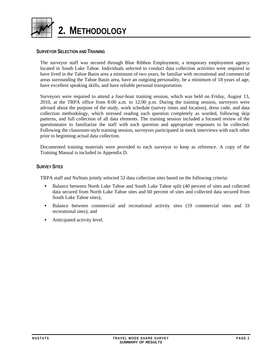<span id="page-5-1"></span><span id="page-5-0"></span>

### <span id="page-5-2"></span>**SURVEYOR SELECTION AND TRAINING**

The surveyor staff was secured through Blue Ribbon Employment, a temporary employment agency located in South Lake Tahoe. Individuals selected to conduct data collection activities were required to have lived in the Tahoe Basin area a minimum of two years, be familiar with recreational and commercial areas surrounding the Tahoe Basin area, have an outgoing personality, be a minimum of 18 years of age, have excellent speaking skills, and have reliable personal transportation.

Surveyors were required to attend a four-hour training session, which was held on Friday, August 13, 2010, at the TRPA office from 8:00 a.m. to 12:00 p.m. During the training session, surveyors were advised about the purpose of the study, work schedule (survey times and location), dress code, and data collection methodology, which stressed reading each question completely as worded, following skip patterns, and full collection of all data elements. The training session included a focused review of the questionnaire to familiarize the staff with each question and appropriate responses to be collected. Following the classroom-style training session, surveyors participated in mock interviews with each other prior to beginning actual data collection.

Documented training materials were provided to each surveyor to keep as reference. A copy of the Training Manual is included in Appendix D.

#### <span id="page-5-3"></span>**SURVEY SITES**

TRPA staff and NuStats jointly selected 52 data collection sites based on the following criteria:

- Balance between North Lake Tahoe and South Lake Tahoe split (40 percent of sites and collected data secured from North Lake Tahoe sites and 60 percent of sites and collected data secured from South Lake Tahoe sites);
- Balance between commercial and recreational activity sites (19 commercial sites and 33 recreational sites); and
- Anticipated activity level.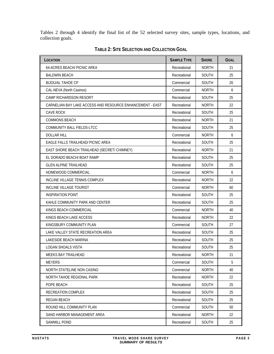<span id="page-6-0"></span>Tables 2 through 4 identify the final list of the 52 selected survey sites, sample types, locations, and collection goals.

<span id="page-6-1"></span>

| LOCATION                                                  | <b>SAMPLE TYPE</b> | <b>SHORE</b> | <b>GOAL</b> |
|-----------------------------------------------------------|--------------------|--------------|-------------|
| 64-ACRES BEACH/ PICNIC AREA                               | Recreational       | <b>NORTH</b> | 21          |
| <b>BALDWIN BEACH</b>                                      | Recreational       | SOUTH        | 25          |
| <b>BIJOU/AL TAHOE CP</b>                                  | Commercial         | <b>SOUTH</b> | 26          |
| CAL-NEVA (North Casinos)                                  | Commercial         | <b>NORTH</b> | 6           |
| <b>CAMP RICHARDSON RESORT</b>                             | Recreational       | <b>SOUTH</b> | 25          |
| CARNELIAN BAY LAKE ACCESS AND RESOURCE ENHANCEMENT - EAST | Recreational       | <b>NORTH</b> | 22          |
| <b>CAVE ROCK</b>                                          | Recreational       | SOUTH        | 25          |
| <b>COMMONS BEACH</b>                                      | Recreational       | <b>NORTH</b> | 21          |
| COMMUNITY BALL FIELDS-LTCC                                | Recreational       | SOUTH        | 25          |
| <b>DOLLAR HILL</b>                                        | Commercial         | <b>NORTH</b> | 6           |
| <b>EAGLE FALLS TRAILHEAD/ PICNIC AREA</b>                 | Recreational       | <b>SOUTH</b> | 25          |
| EAST SHORE BEACH TRAILHEAD (SECRET/ CHIMNEY)              | Recreational       | <b>NORTH</b> | 21          |
| EL DORADO BEACH/ BOAT RAMP                                | Recreational       | <b>SOUTH</b> | 25          |
| <b>GLEN ALPINE TRAILHEAD</b>                              | Recreational       | <b>SOUTH</b> | 25          |
| HOMEWOOD COMMERCIAL                                       | Commercial         | <b>NORTH</b> | 6           |
| INCLINE VILLAGE TENNIS COMPLEX                            | Recreational       | <b>NORTH</b> | 22          |
| <b>INCLINE VILLAGE TOURIST</b>                            | Commercial         | <b>NORTH</b> | 60          |
| INSPIRATION POINT                                         | Recreational       | <b>SOUTH</b> | 25          |
| KAHLE COMMUNITY PARK AND CENTER                           | Recreational       | SOUTH        | 25          |
| KINGS BEACH COMMERCIAL                                    | Commercial         | <b>NORTH</b> | 40          |
| KINGS BEACH LAKE ACCESS                                   | Recreational       | <b>NORTH</b> | 22          |
| KINGSBURY COMMUNITY PLAN                                  | Commercial         | SOUTH        | 27          |
| LAKE VALLEY STATE RECREATION AREA                         | Recreational       | <b>SOUTH</b> | 25          |
| LAKESIDE BEACH MARINA                                     | Recreational       | <b>SOUTH</b> | 25          |
| <b>LOGAN SHOALS VISTA</b>                                 | Recreational       | <b>SOUTH</b> | 25          |
| MEEKS BAY TRAILHEAD                                       | Recreational       | <b>NORTH</b> | 21          |
| <b>MEYERS</b>                                             | Commercial         | <b>SOUTH</b> | 5           |
| NORTH STATELINE NON CASINO                                | Commercial         | <b>NORTH</b> | 40          |
| NORTH TAHOE REGIONAL PARK                                 | Recreational       | <b>NORTH</b> | 22          |
| POPE BEACH                                                | Recreational       | <b>SOUTH</b> | 25          |
| RECREATION COMPLEX                                        | Recreational       | SOUTH        | 25          |
| <b>REGAN BEACH</b>                                        | Recreational       | <b>SOUTH</b> | 25          |
| ROUND HILL COMMUNITY PLAN                                 | Commercial         | <b>SOUTH</b> | 50          |
| SAND HARBOR MANAGEMENT AREA                               | Recreational       | <b>NORTH</b> | 22          |
| <b>SAWMILL POND</b>                                       | Recreational       | SOUTH        | 25          |

**TABLE 2: SITE SELECTION AND COLLECTION GOAL**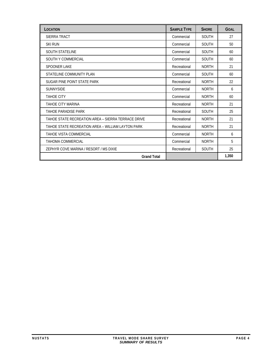| LOCATION                                           | <b>SAMPLE TYPE</b> | <b>SHORE</b> | <b>GOAL</b> |
|----------------------------------------------------|--------------------|--------------|-------------|
| SIERRA TRACT                                       | Commercial         | <b>SOUTH</b> | 27          |
| <b>SKI RUN</b>                                     | Commercial         | <b>SOUTH</b> | 50          |
| <b>SOUTH STATELINE</b>                             | Commercial         | SOUTH        | 60          |
| <b>SOUTH Y COMMERCIAL</b>                          | Commercial         | <b>SOUTH</b> | 60          |
| <b>SPOONER LAKE</b>                                | Recreational       | <b>NORTH</b> | 21          |
| STATELINE COMMUNITY PLAN                           | Commercial         | <b>SOUTH</b> | 60          |
| SUGAR PINE POINT STATE PARK                        | Recreational       | <b>NORTH</b> | 22          |
| <b>SUNNYSIDE</b>                                   | Commercial         | <b>NORTH</b> | 6           |
| <b>TAHOE CITY</b>                                  | Commercial         | <b>NORTH</b> | 60          |
| <b>TAHOE CITY MARINA</b>                           | Recreational       | <b>NORTH</b> | 21          |
| TAHOE PARADISE PARK                                | Recreational       | <b>SOUTH</b> | 25          |
| TAHOE STATE RECREATION AREA – SIERRA TERRACE DRIVE | Recreational       | <b>NORTH</b> | 21          |
| TAHOE STATE RECREATION AREA - WILLIAM LAYTON PARK  | Recreational       | <b>NORTH</b> | 21          |
| TAHOE VISTA COMMERCIAL                             | Commercial         | <b>NORTH</b> | 6           |
| TAHOMA COMMERCIAL                                  | Commercial         | <b>NORTH</b> | 5           |
| ZEPHYR COVE MARINA / RESORT / MS DIXIE             | Recreational       | <b>SOUTH</b> | 25          |
| <b>Grand Total</b>                                 |                    |              | 1,350       |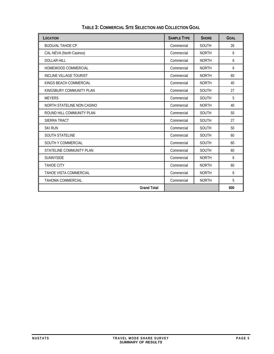<span id="page-8-1"></span><span id="page-8-0"></span>

| LOCATION                       | <b>SAMPLE TYPE</b> | <b>SHORE</b> | <b>GOAL</b> |
|--------------------------------|--------------------|--------------|-------------|
| <b>BIJOU/AL TAHOE CP</b>       | Commercial         | <b>SOUTH</b> | 26          |
| CAL-NEVA (North Casinos)       | Commercial         | <b>NORTH</b> | 6           |
| <b>DOLLAR HILL</b>             | Commercial         | <b>NORTH</b> | 6           |
| HOMEWOOD COMMERCIAL            | Commercial         | <b>NORTH</b> | 6           |
| <b>INCLINE VILLAGE TOURIST</b> | Commercial         | <b>NORTH</b> | 60          |
| KINGS BEACH COMMERCIAL         | Commercial         | <b>NORTH</b> | 40          |
| KINGSBURY COMMUNITY PLAN       | Commercial         | <b>SOUTH</b> | 27          |
| <b>MEYERS</b>                  | Commercial         | <b>SOUTH</b> | 5           |
| NORTH STATELINE NON CASINO     | Commercial         | <b>NORTH</b> | 40          |
| ROUND HILL COMMUNITY PLAN      | Commercial         | <b>SOUTH</b> | 50          |
| SIERRA TRACT                   | Commercial         | <b>SOUTH</b> | 27          |
| <b>SKI RUN</b>                 | Commercial         | <b>SOUTH</b> | 50          |
| <b>SOUTH STATELINE</b>         | Commercial         | <b>SOUTH</b> | 60          |
| SOUTH Y COMMERCIAL             | Commercial         | <b>SOUTH</b> | 60          |
| STATELINE COMMUNITY PLAN       | Commercial         | <b>SOUTH</b> | 60          |
| <b>SUNNYSIDE</b>               | Commercial         | <b>NORTH</b> | 6           |
| <b>TAHOE CITY</b>              | Commercial         | <b>NORTH</b> | 60          |
| TAHOE VISTA COMMERCIAL         | Commercial         | <b>NORTH</b> | 6           |
| <b>TAHOMA COMMERCIAL</b>       | Commercial         | <b>NORTH</b> | 5           |
| <b>Grand Total</b>             |                    |              | 600         |

**TABLE 3: COMMERCIAL SITE SELECTION AND COLLECTION GOAL**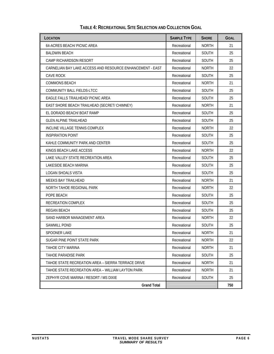<span id="page-9-1"></span><span id="page-9-0"></span>

| LOCATION                                                  | <b>SAMPLE TYPE</b> | <b>SHORE</b> | <b>GOAL</b> |
|-----------------------------------------------------------|--------------------|--------------|-------------|
| 64-ACRES BEACH/ PICNIC AREA                               | Recreational       | <b>NORTH</b> | 21          |
| <b>BALDWIN BEACH</b>                                      | Recreational       | SOUTH        | 25          |
| CAMP RICHARDSON RESORT                                    | Recreational       | <b>SOUTH</b> | 25          |
| CARNELIAN BAY LAKE ACCESS AND RESOURCE ENHANCEMENT - EAST | Recreational       | <b>NORTH</b> | 22          |
| CAVE ROCK                                                 | Recreational       | <b>SOUTH</b> | 25          |
| <b>COMMONS BEACH</b>                                      | Recreational       | <b>NORTH</b> | 21          |
| COMMUNITY BALL FIELDS-LTCC                                | Recreational       | SOUTH        | 25          |
| EAGLE FALLS TRAILHEAD/ PICNIC AREA                        | Recreational       | <b>SOUTH</b> | 25          |
| EAST SHORE BEACH TRAILHEAD (SECRET/ CHIMNEY)              | Recreational       | <b>NORTH</b> | 21          |
| EL DORADO BEACH/ BOAT RAMP                                | Recreational       | <b>SOUTH</b> | 25          |
| <b>GLEN ALPINE TRAILHEAD</b>                              | Recreational       | <b>SOUTH</b> | 25          |
| INCLINE VILLAGE TENNIS COMPLEX                            | Recreational       | <b>NORTH</b> | 22          |
| INSPIRATION POINT                                         | Recreational       | <b>SOUTH</b> | 25          |
| KAHLE COMMUNITY PARK AND CENTER                           | Recreational       | SOUTH        | 25          |
| KINGS BEACH LAKE ACCESS                                   | Recreational       | <b>NORTH</b> | 22          |
| LAKE VALLEY STATE RECREATION AREA                         | Recreational       | SOUTH        | 25          |
| LAKESIDE BEACH MARINA                                     | Recreational       | <b>SOUTH</b> | 25          |
| LOGAN SHOALS VISTA                                        | Recreational       | <b>SOUTH</b> | 25          |
| MEEKS BAY TRAILHEAD                                       | Recreational       | NORTH        | 21          |
| NORTH TAHOE REGIONAL PARK                                 | Recreational       | <b>NORTH</b> | 22          |
| POPE BEACH                                                | Recreational       | SOUTH        | 25          |
| RECREATION COMPLEX                                        | Recreational       | <b>SOUTH</b> | 25          |
| REGAN BEACH                                               | Recreational       | <b>SOUTH</b> | 25          |
| SAND HARBOR MANAGEMENT AREA                               | Recreational       | <b>NORTH</b> | 22          |
| SAWMILL POND                                              | Recreational       | <b>SOUTH</b> | 25          |
| <b>SPOONER LAKE</b>                                       | Recreational       | <b>NORTH</b> | 21          |
| SUGAR PINE POINT STATE PARK                               | Recreational       | <b>NORTH</b> | 22          |
| TAHOE CITY MARINA                                         | Recreational       | <b>NORTH</b> | 21          |
| TAHOE PARADISE PARK                                       | Recreational       | <b>SOUTH</b> | 25          |
| TAHOE STATE RECREATION AREA – SIERRA TERRACE DRIVE        | Recreational       | <b>NORTH</b> | 21          |
| TAHOE STATE RECREATION AREA – WILLIAM LAYTON PARK         | Recreational       | <b>NORTH</b> | 21          |
| ZEPHYR COVE MARINA / RESORT / MS DIXIE                    | Recreational       | <b>SOUTH</b> | 25          |
| <b>Grand Total</b>                                        |                    |              | 750         |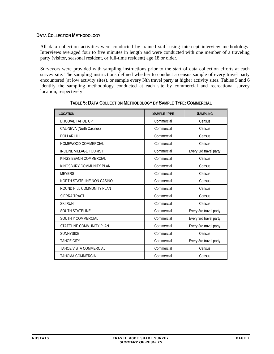### <span id="page-10-1"></span><span id="page-10-0"></span>**DATA COLLECTION METHODOLOGY**

All data collection activities were conducted by trained staff using intercept interview methodology. Interviews averaged four to five minutes in length and were conducted with one member of a traveling party (visitor, seasonal resident, or full-time resident) age 18 or older.

<span id="page-10-2"></span>Surveyors were provided with sampling instructions prior to the start of data collection efforts at each survey site. The sampling instructions defined whether to conduct a census sample of every travel party encountered (at low activity sites), or sample every Nth travel party at higher activity sites. Tables 5 and 6 identify the sampling methodology conducted at each site by commercial and recreational survey location, respectively.

| LOCATION                       | <b>SAMPLE TYPE</b> | <b>SAMPLING</b>        |
|--------------------------------|--------------------|------------------------|
| <b>BIJOU/AL TAHOE CP</b>       | Commercial         | Census                 |
| CAL-NEVA (North Casinos)       | Commercial         | Census                 |
| <b>DOLLAR HILL</b>             | Commercial         | Census                 |
| HOMEWOOD COMMERCIAL            | Commercial         | Census                 |
| <b>INCLINE VILLAGE TOURIST</b> | Commercial         | Every 3rd travel party |
| KINGS BEACH COMMERCIAL         | Commercial         | Census                 |
| KINGSBURY COMMUNITY PLAN       | Commercial         | Census                 |
| <b>MEYERS</b>                  | Commercial         | Census                 |
| NORTH STATELINE NON CASINO     | Commercial         | Census                 |
| ROUND HILL COMMUNITY PLAN      | Commercial         | Census                 |
| SIERRA TRACT                   | Commercial         | Census                 |
| <b>SKI RUN</b>                 | Commercial         | Census                 |
| <b>SOUTH STATELINE</b>         | Commercial         | Every 3rd travel party |
| SOUTH Y COMMERCIAL             | Commercial         | Every 3rd travel party |
| STATELINE COMMUNITY PLAN       | Commercial         | Every 3rd travel party |
| <b>SUNNYSIDE</b>               | Commercial         | Census                 |
| <b>TAHOE CITY</b>              | Commercial         | Every 3rd travel party |
| <b>TAHOE VISTA COMMERCIAL</b>  | Commercial         | Census                 |
| <b>TAHOMA COMMERCIAL</b>       | Commercial         | Census                 |

**TABLE 5: DATA COLLECTION METHODOLOGY BY SAMPLE TYPE: COMMERCIAL**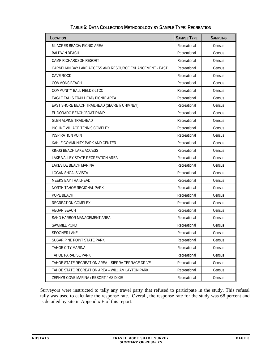<span id="page-11-1"></span><span id="page-11-0"></span>

| LOCATION                                                  | <b>SAMPLE TYPE</b> | <b>SAMPLING</b> |
|-----------------------------------------------------------|--------------------|-----------------|
| 64-ACRES BEACH/ PICNIC AREA                               | Recreational       | Census          |
| <b>BALDWIN BEACH</b>                                      | Recreational       | Census          |
| CAMP RICHARDSON RESORT                                    | Recreational       | Census          |
| CARNELIAN BAY LAKE ACCESS AND RESOURCE ENHANCEMENT - EAST | Recreational       | Census          |
| CAVE ROCK                                                 | Recreational       | Census          |
| <b>COMMONS BEACH</b>                                      | Recreational       | Census          |
| COMMUNITY BALL FIELDS-LTCC                                | Recreational       | Census          |
| EAGLE FALLS TRAILHEAD/ PICNIC AREA                        | Recreational       | Census          |
| EAST SHORE BEACH TRAILHEAD (SECRET/ CHIMNEY)              | Recreational       | Census          |
| EL DORADO BEACH/ BOAT RAMP                                | Recreational       | Census          |
| <b>GLEN ALPINE TRAILHEAD</b>                              | Recreational       | Census          |
| INCLINE VILLAGE TENNIS COMPLEX                            | Recreational       | Census          |
| <b>INSPIRATION POINT</b>                                  | Recreational       | Census          |
| KAHLE COMMUNITY PARK AND CENTER                           | Recreational       | Census          |
| KINGS BEACH LAKE ACCESS                                   | Recreational       | Census          |
| LAKE VALLEY STATE RECREATION AREA                         | Recreational       | Census          |
| LAKESIDE BEACH MARINA                                     | Recreational       | Census          |
| LOGAN SHOALS VISTA                                        | Recreational       | Census          |
| MEEKS BAY TRAILHEAD                                       | Recreational       | Census          |
| NORTH TAHOE REGIONAL PARK                                 | Recreational       | Census          |
| POPE BEACH                                                | Recreational       | Census          |
| RECREATION COMPLEX                                        | Recreational       | Census          |
| <b>REGAN BEACH</b>                                        | Recreational       | Census          |
| SAND HARBOR MANAGEMENT AREA                               | Recreational       | Census          |
| <b>SAWMILL POND</b>                                       | Recreational       | Census          |
| <b>SPOONER LAKE</b>                                       | Recreational       | Census          |
| SUGAR PINE POINT STATE PARK                               | Recreational       | Census          |
| <b>TAHOE CITY MARINA</b>                                  | Recreational       | Census          |
| <b>TAHOE PARADISE PARK</b>                                | Recreational       | Census          |
| TAHOE STATE RECREATION AREA - SIERRA TERRACE DRIVE        | Recreational       | Census          |
| TAHOE STATE RECREATION AREA - WILLIAM LAYTON PARK         | Recreational       | Census          |
| ZEPHYR COVE MARINA / RESORT / MS DIXIE                    | Recreational       | Census          |

# **TABLE 6: DATA COLLECTION METHODOLOGY BY SAMPLE TYPE: RECREATION**

Surveyors were instructed to tally any travel party that refused to participate in the study. This refusal tally was used to calculate the response rate. Overall, the response rate for the study was 68 percent and is detailed by site in Appendix E of this report.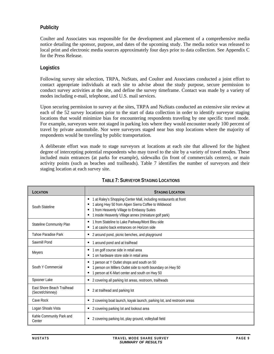# <span id="page-12-0"></span>**Publicity**

Coulter and Associates was responsible for the development and placement of a comprehensive media notice detailing the sponsor, purpose, and dates of the upcoming study. The media notice was released to local print and electronic media sources approximately four days prior to data collection. See Appendix C for the Press Release.

# **Logistics**

Following survey site selection, TRPA, NuStats, and Coulter and Associates conducted a joint effort to contact appropriate individuals at each site to advise about the study purpose, secure permission to conduct survey activities at the site, and define the survey timeframe. Contact was made by a variety of modes including e-mail, telephone, and U.S. mail services.

Upon securing permission to survey at the sites, TRPA and NuStats conducted an extensive site review at each of the 52 survey locations prior to the start of data collection in order to identify surveyor staging locations that would minimize bias for encountering respondents traveling by one specific travel mode. For example, surveyors were not staged in parking lots where they would encounter nearly 100 percent of travel by private automobile. Nor were surveyors staged near bus stop locations where the majority of respondents would be traveling by public transportation.

A deliberate effort was made to stage surveyors at locations at each site that allowed for the highest degree of intercepting potential respondents who may travel to the site by a variety of travel modes. These included main entrances (at parks for example), sidewalks (in front of commercials centers), or main activity points (such as beaches and trailheads). Table 7 identifies the number of surveyors and their staging location at each survey site.

<span id="page-12-1"></span>

| LOCATION                                       | <b>STAGING LOCATION</b>                                                                                                                                                                                                        |
|------------------------------------------------|--------------------------------------------------------------------------------------------------------------------------------------------------------------------------------------------------------------------------------|
| South Stateline                                | 1 at Raley's Shopping Center Mall, including restaurants at front<br>1 along Hwy 50 from Alpen Sierra Coffee to Wildwood<br>1 from Heavenly Village to Embassy Suites<br>1 inside Heavenly Village annex (miniature golf park) |
| Stateline Community Plan                       | 1 from Stateline to Lake Parkway/Mont Bleu side<br>٠<br>1 at casino back entrances on Horizon side                                                                                                                             |
| Tahoe Paradise Park                            | 2 around pond, picnic benches, and playground<br>٠                                                                                                                                                                             |
| Sawmill Pond                                   | 1 around pond and at trailhead<br>٠                                                                                                                                                                                            |
| <b>Meyers</b>                                  | 1 on golf course side in retail area<br>٠<br>1 on hardware store side in retail area                                                                                                                                           |
| South Y Commercial                             | 1 person at Y Outlet shops and south on 50<br>٠<br>1 person on Millers Outlet side to north boundary on Hwy 50<br>1 person at K-Mart center and south on Hwy 50<br>٠                                                           |
| Spooner Lake                                   | 2 covering all parking lot areas, restroom, trailheads                                                                                                                                                                         |
| East Shore Beach Trailhead<br>(Secret/chimney) | 2 at trailhead and parking lot<br>п                                                                                                                                                                                            |
| Cave Rock                                      | 2 covering boat launch, kayak launch, parking lot, and restroom areas<br>٠                                                                                                                                                     |
| Logan Shoals Vista                             | 2 covering parking lot and lookout area<br>٠                                                                                                                                                                                   |
| Kahle Community Park and<br>Center             | 2 covering parking lot, play ground, volleyball field                                                                                                                                                                          |

# **TABLE 7: SURVEYOR STAGING LOCATIONS**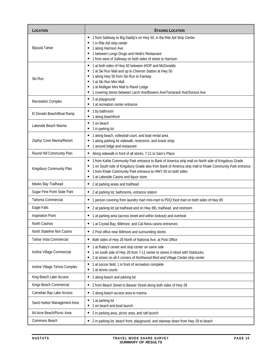| LOCATION                       | <b>STAGING LOCATION</b>                                                                                                                                                                                                                                                                                                         |
|--------------------------------|---------------------------------------------------------------------------------------------------------------------------------------------------------------------------------------------------------------------------------------------------------------------------------------------------------------------------------|
| Bijou/al Tahoe                 | " 1 from Safeway to Big Daddy's on Hwy 50, in the Rite Aid Strip Center<br>■ 1 in Rite Aid strip center<br>■ 1 along Harrison Ave<br>" 1 between Longs Drugs and Heidi's Restaurant<br>■ 1 from west of Safeway on both sides of street to Harrison                                                                             |
| Ski Run                        | ■ 1 at both sides of Hwy 50 between IHOP and McDonalds<br>" 1 at Ski Run Mall and up to Chevron Station at Hwy 50<br>1 along Hwy 50 from Ski Run to Fairway<br>■ 1 at Ski Run Mini Mall<br>1 at Mulligan Mini Mall to Ravel Lodge<br>" 1 covering stores between Larch Ave/Bowers Ave/Tamarack Ave/Sonora Ave                   |
| <b>Recreation Complex</b>      | • 2 at playground<br>1 at recreation center entrance                                                                                                                                                                                                                                                                            |
| El Dorado Beach/Boat Ramp      | ■ 1 by bathroom<br>■ 1 along beachfront                                                                                                                                                                                                                                                                                         |
| Lakeside Beach Marina          | ■ 1 on beach<br>■ 1 in parking lot                                                                                                                                                                                                                                                                                              |
| Zephyr Cove Marina/Resort      | " 1 along beach, volleyball court, and boat rental area<br>1 along parking lot sidewalk, restrooms, and snack shop<br>■ 1 around lodge and restaurant                                                                                                                                                                           |
| Round Hill Community Plan      | Along sidewalk in front of all stores, 7-11 to Sam's Place                                                                                                                                                                                                                                                                      |
| Kingsbury Community Plan       | " 1 from Kahle Community Park entrance to Bank of America strip mall on North side of Kingsbury Grade<br>1 on South side of Kingsbury Grade also from Bank of America strip mall to Khale Community Park entrance<br>1 from Khale Community Park entrance to HWY 50 on both sides<br>٠<br>1 at Lakeside Casino and liquor store |
| Meeks Bay Trailhead            | ■ 2 at parking areas and trailhead                                                                                                                                                                                                                                                                                              |
| Sugar Pine Point State Park    | ■ 2 at parking lot, bathrooms, entrance station                                                                                                                                                                                                                                                                                 |
| Tahoma Commercial              | " 1 person covering from laundry mart mini-mart to PDQ food mart on both sides of Hwy 89                                                                                                                                                                                                                                        |
| Eagle Falls                    | ■ 2 at parking lot (at trailhead and on Hwy 89), trailhead, and restroom                                                                                                                                                                                                                                                        |
| <b>Inspiration Point</b>       | ■ 1 at parking area (across street and within lookout) and overlook                                                                                                                                                                                                                                                             |
| North Casinos                  | ■ 1 at Crystal Bay, Biltmore, and Cal-Neva casino entrances                                                                                                                                                                                                                                                                     |
| North Stateline Non Casino     | • 2 Post office near Biltmore and surrounding stores                                                                                                                                                                                                                                                                            |
| Tahoe Vista Commercial         | Both sides of Hwy 28 North of National Ave, at Post Office                                                                                                                                                                                                                                                                      |
| Incline Village Commercial     | ■ 1 at Raley's center and strip center on same side<br>1 on south side of Hwy 28 from 7-11 center to stores in block with Starbucks<br>■ 2 at stores on all 4 corners of Northwood Blvd and Village Center strip center                                                                                                         |
| Incline Village Tennis Complex | ■ 1 at soccer field, 1 in front of recreation complete<br>1 at tennis courts<br>٠                                                                                                                                                                                                                                               |
| King Beach Lake Access         | • 2 along beach and parking lot                                                                                                                                                                                                                                                                                                 |
| Kings Beach Commercial         | ■ 2 from Beach Street to Beaver Street along both sides of Hwy 28                                                                                                                                                                                                                                                               |
| Carnelian Bay Lake Access      | • 2 along beach access area to marina                                                                                                                                                                                                                                                                                           |
| Sand Harbor Management Area    | 1 at parking lot<br>■ 1 on beach and boat launch                                                                                                                                                                                                                                                                                |
| 64-Acre Beach/Picnic Area      | ■ 2 in parking area, picnic area, and raft launch                                                                                                                                                                                                                                                                               |
| Commons Beach                  | ■ 2 in parking lot, beach front, playground, and stairway down from Hwy 28 to beach                                                                                                                                                                                                                                             |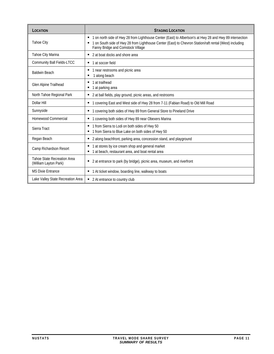| LOCATION                                             | <b>STAGING LOCATION</b>                                                                                                                                                                                                                                    |
|------------------------------------------------------|------------------------------------------------------------------------------------------------------------------------------------------------------------------------------------------------------------------------------------------------------------|
| Tahoe City                                           | " 1 on north side of Hwy 28 from Lighthouse Center (East) to Albertson's at Hwy 28 and Hwy 89 intersection<br>1 on South side of Hwy 28 from Lighthouse Center (East) to Chevron Station/raft rental (West) including<br>Fanny Bridge and Comstock Village |
| Tahoe City Marina                                    | ■ 2 at boat docks and shore area                                                                                                                                                                                                                           |
| Community Ball Fields-LTCC                           | ■ 1 at soccer field                                                                                                                                                                                                                                        |
| <b>Baldwin Beach</b>                                 | 1 near restrooms and picnic area<br>1 along beach                                                                                                                                                                                                          |
| Glen Alpine Trailhead                                | ■ 1 at trailhead<br>■ 1 at parking area                                                                                                                                                                                                                    |
| North Tahoe Regional Park                            | ■ 2 at ball fields, play ground, picnic areas, and restrooms                                                                                                                                                                                               |
| Dollar Hill                                          | ■ 1 covering East and West side of Hwy 28 from 7-11 (Fabian Road) to Old Mill Road                                                                                                                                                                         |
| Sunnyside                                            | ■ 1 covering both sides of Hwy 89 from General Store to Pineland Drive                                                                                                                                                                                     |
| Homewood Commercial                                  | " 1 covering both sides of Hwy 89 near Obexers Marina                                                                                                                                                                                                      |
| Sierra Tract                                         | " 1 from Sierra to Lodi on both sides of Hwy 50<br>1 from Sierra to Blue Lake on both sides of Hwy 50                                                                                                                                                      |
| Regan Beach                                          | • 2 along beachfront, parking area, concession stand, and playground                                                                                                                                                                                       |
| Camp Richardson Resort                               | 1 at stores by ice cream shop and general market<br>٠<br>1 at beach, restaurant area, and boat rental area                                                                                                                                                 |
| Tahoe State Recreation Area<br>(William Layton Park) | 2 at entrance to park (by bridge), picnic area, museum, and riverfront<br>ш                                                                                                                                                                                |
| <b>MS Dixie Entrance</b>                             | ■ 1 At ticket window, boarding line, walkway to boats                                                                                                                                                                                                      |
| Lake Valley State Recreation Area                    | ■ 2 At entrance to country club                                                                                                                                                                                                                            |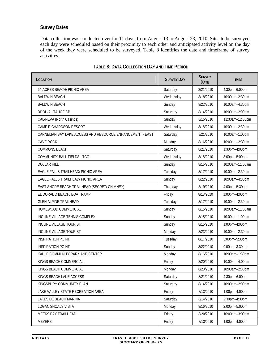# <span id="page-15-0"></span>**Survey Dates**

Data collection was conducted over for 11 days, from August 13 to August 23, 2010. Sites to be surveyed each day were scheduled based on their proximity to each other and anticipated activity level on the day of the week they were scheduled to be surveyed. Table 8 identifies the date and timeframe of survey activities.

<span id="page-15-1"></span>

| LOCATION                                                  | <b>SURVEY DAY</b> | <b>SURVEY</b><br><b>DATE</b> | <b>TIMES</b>    |
|-----------------------------------------------------------|-------------------|------------------------------|-----------------|
| 64-ACRES BEACH/ PICNIC AREA                               | Saturday          | 8/21/2010                    | 4:30pm-6:00pm   |
| <b>BALDWIN BEACH</b>                                      | Wednesday         | 8/18/2010                    | 10:00am-2:30pm  |
| <b>BALDWIN BEACH</b>                                      | Sunday            | 8/22/2010                    | 10:00am-4:30pm  |
| <b>BIJOU/AL TAHOE CP</b>                                  | Saturday          | 8/14/2010                    | 10:00am-2:00pm  |
| CAL-NEVA (North Casinos)                                  | Sunday            | 8/15/2010                    | 11:30am-12:30pm |
| CAMP RICHARDSON RESORT                                    | Wednesday         | 8/18/2010                    | 10:00am-2:30pm  |
| CARNELIAN BAY LAKE ACCESS AND RESOURCE ENHANCEMENT - EAST | Saturday          | 8/21/2010                    | 10:00am-1:00pm  |
| <b>CAVE ROCK</b>                                          | Monday            | 8/16/2010                    | 10:00am-2:30pm  |
| <b>COMMONS BEACH</b>                                      | Saturday          | 8/21/2010                    | 1:30pm-4:00pm   |
| COMMUNITY BALL FIELDS-LTCC                                | Wednesday         | 8/18/2010                    | 3:00pm-5:00pm   |
| <b>DOLLAR HILL</b>                                        | Sunday            | 8/15/2010                    | 10:00am-11:00am |
| EAGLE FALLS TRAILHEAD/ PICNIC AREA                        | Tuesday           | 8/17/2010                    | 10:00am-2:30pm  |
| <b>EAGLE FALLS TRAILHEAD/ PICNIC AREA</b>                 | Sunday            | 8/22/2010                    | 10:00am-4:30pm  |
| EAST SHORE BEACH TRAILHEAD (SECRET/ CHIMNEY)              | Thursday          | 8/19/2010                    | 4:00pm-5:30pm   |
| EL DORADO BEACH/ BOAT RAMP                                | Friday            | 8/13/2010                    | 1:00pm-4:00pm   |
| <b>GLEN ALPINE TRAILHEAD</b>                              | Tuesday           | 8/17/2010                    | 10:00am-2:30pm  |
| HOMEWOOD COMMERCIAL                                       | Sunday            | 8/15/2010                    | 10:00am-11:00am |
| INCLINE VILLAGE TENNIS COMPLEX                            | Sunday            | 8/15/2010                    | 10:00am-1:00pm  |
| <b>INCLINE VILLAGE TOURIST</b>                            | Sunday            | 8/15/2010                    | 1:00pm-4:00pm   |
| INCLINE VILLAGE TOURIST                                   | Monday            | 8/23/2010                    | 10:00am-2:30pm  |
| <b>INSPIRATION POINT</b>                                  | Tuesday           | 8/17/2010                    | 3:00pm-5:30pm   |
| <b>INSPIRATION POINT</b>                                  | Sunday            | 8/22/2010                    | 9:00am-3:30pm   |
| KAHLE COMMUNITY PARK AND CENTER                           | Monday            | 8/16/2010                    | 10:00am-1:30pm  |
| KINGS BEACH COMMERCIAL                                    | Friday            | 8/20/2010                    | 10:00am-4:00pm  |
| KINGS BEACH COMMERCIAL                                    | Monday            | 8/23/2010                    | 10:00am-2:30pm  |
| KINGS BEACH LAKE ACCESS                                   | Saturday          | 8/21/2010                    | 4:30pm-6:00pm   |
| KINGSBURY COMMUNITY PLAN                                  | Saturday          | 8/14/2010                    | 10:00am-2:00pm  |
| LAKE VALLEY STATE RECREATION AREA                         | Friday            | 8/13/2010                    | 1:00pm-4:00pm   |
| LAKESIDE BEACH MARINA                                     | Saturday          | 8/14/2010                    | 2:30pm-4:30pm   |
| LOGAN SHOALS VISTA                                        | Monday            | 8/16/2010                    | 2:00pm-5:00pm   |
| MEEKS BAY TRAILHEAD                                       | Friday            | 8/20/2010                    | 10:00am-3:00pm  |
| <b>MEYERS</b>                                             | Friday            | 8/13/2010                    | 1:00pm-4:00pm   |

# **TABLE 8: DATA COLLECTION DAY AND TIME PERIOD**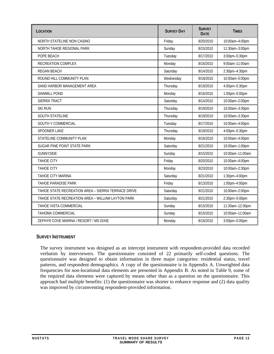<span id="page-16-0"></span>

| LOCATION                                           | <b>SURVEY DAY</b> | <b>SURVEY</b><br><b>DATE</b> | <b>TIMES</b>    |
|----------------------------------------------------|-------------------|------------------------------|-----------------|
| NORTH STATELINE NON CASINO                         | Friday            | 8/20/2010                    | 10:00am-4:00pm  |
| NORTH TAHOE REGIONAL PARK                          | Sunday            | 8/15/2010                    | 11:30am-3:00pm  |
| POPE BEACH                                         | Tuesday           | 8/17/2010                    | 3:00pm-5:30pm   |
| RECREATION COMPLEX                                 | Monday            | 8/16/2010                    | 9:00am-11:00am  |
| <b>REGAN BEACH</b>                                 | Saturday          | 8/14/2010                    | 2:30pm-4:30pm   |
| ROUND HILL COMMUNITY PLAN                          | Wednesday         | 8/18/2010                    | 10:00am-5:00pm  |
| SAND HARBOR MANAGEMENT AREA                        | Thursday          | 8/19/2010                    | 4:00pm-5:30pm   |
| <b>SAWMILL POND</b>                                | Monday            | 8/16/2010                    | 1:00pm-5:00pm   |
| SIERRA TRACT                                       | Saturday          | 8/14/2010                    | 10:00am-2:00pm  |
| <b>SKI RUN</b>                                     | Thursday          | 8/19/2010                    | 10:00am-3:30pm  |
| <b>SOUTH STATELINE</b>                             | Thursday          | 8/19/2010                    | 10:00am-3:30pm  |
| SOUTH Y COMMERCIAL                                 | Tuesday           | 8/17/2010                    | 10:00am-4:00pm  |
| SPOONER LAKE                                       | Thursday          | 8/19/2010                    | 4:00pm-5:30pm   |
| STATELINE COMMUNITY PLAN                           | Monday            | 8/16/2010                    | 10:00am-4:00pm  |
| SUGAR PINE POINT STATE PARK                        | Saturday          | 8/21/2010                    | 10:00am-1:00pm  |
| <b>SUNNYSIDE</b>                                   | Sunday            | 8/15/2010                    | 10:00am-11:00am |
| <b>TAHOE CITY</b>                                  | Friday            | 8/20/2010                    | 10:00am-4:00pm  |
| <b>TAHOE CITY</b>                                  | Monday            | 8/23/2010                    | 10:00am-2:30pm  |
| TAHOE CITY MARINA                                  | Saturday          | 8/21/2010                    | 1:30pm-4:00pm   |
| TAHOE PARADISE PARK                                | Friday            | 8/13/2010                    | 1:00pm-4:00pm   |
| TAHOE STATE RECREATION AREA - SIERRA TERRACE DRIVE | Saturday          | 8/21/2010                    | 10:00am-2:00pm  |
| TAHOE STATE RECREATION AREA - WILLIAM LAYTON PARK  | Saturday          | 8/21/2010                    | 2:30pm-5:00pm   |
| TAHOE VISTA COMMERCIAL                             | Sunday            | 8/15/2010                    | 11:30am-12:30pm |
| <b>TAHOMA COMMERCIAL</b>                           | Sunday            | 8/15/2010                    | 10:00am-11:00am |
| ZEPHYR COVE MARINA / RESORT / MS DIXIE             | Monday            | 8/16/2010                    | 3:00pm-5:00pm   |

# <span id="page-16-1"></span>**SURVEY INSTRUMENT**

The survey instrument was designed as an intercept instrument with respondent-provided data recorded verbatim by interviewers. The questionnaire consisted of 22 primarily self-coded questions. The questionnaire was designed to obtain information in three major categories: residential status, travel patterns, and respondent demographics. A copy of the questionnaire is in Appendix A. Unweighted data frequencies for non-locational data elements are presented in Appendix B. As noted in Table 9, some of the required data elements were captured by means other than as a question on the questionnaire. This approach had multiple benefits: (1) the questionnaire was shorter to enhance response and (2) data quality was improved by circumventing respondent-provided information.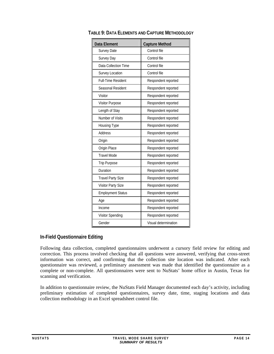| Data Element              | <b>Capture Method</b> |
|---------------------------|-----------------------|
| <b>Survey Date</b>        | Control file          |
| Survey Day                | Control file          |
| Data Collection Time      | Control file          |
| Survey Location           | Control file          |
| <b>Full-Time Resident</b> | Respondent reported   |
| Seasonal Resident         | Respondent reported   |
| Visitor                   | Respondent reported   |
| <b>Visitor Purpose</b>    | Respondent reported   |
| Length of Stay            | Respondent reported   |
| Number of Visits          | Respondent reported   |
| Housing Type              | Respondent reported   |
| Address                   | Respondent reported   |
| Origin                    | Respondent reported   |
| Origin Place              | Respondent reported   |
| <b>Travel Mode</b>        | Respondent reported   |
| <b>Trip Purpose</b>       | Respondent reported   |
| Duration                  | Respondent reported   |
| <b>Travel Party Size</b>  | Respondent reported   |
| Visitor Party Size        | Respondent reported   |
| <b>Employment Status</b>  | Respondent reported   |
| Age                       | Respondent reported   |
| Income                    | Respondent reported   |
| Visitor Spending          | Respondent reported   |
| Gender                    | Visual determination  |

# <span id="page-17-1"></span><span id="page-17-0"></span>**TABLE 9: DATA ELEMENTS AND CAPTURE METHODOLOGY**

# **In-Field Questionnaire Editing**

Following data collection, completed questionnaires underwent a cursory field review for editing and correction. This process involved checking that all questions were answered, verifying that cross-street information was correct, and confirming that the collection site location was indicated. After each questionnaire was reviewed, a preliminary assessment was made that identified the questionnaire as a complete or non-complete. All questionnaires were sent to NuStats' home office in Austin, Texas for scanning and verification.

In addition to questionnaire review, the NuStats Field Manager documented each day's activity, including preliminary estimation of completed questionnaires, survey date, time, staging locations and data collection methodology in an Excel spreadsheet control file.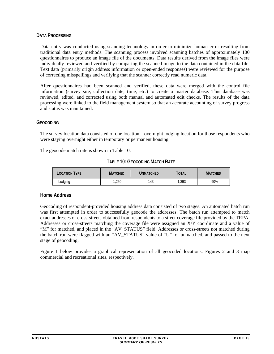#### <span id="page-18-1"></span><span id="page-18-0"></span>**DATA PROCESSING**

Data entry was conducted using scanning technology in order to minimize human error resulting from traditional data entry methods. The scanning process involved scanning batches of approximately 100 questionnaires to produce an image file of the documents. Data results derived from the image files were individually reviewed and verified by comparing the scanned image to the data contained in the data file. Text data (primarily origin address information or open-ended responses) were reviewed for the purpose of correcting misspellings and verifying that the scanner correctly read numeric data.

After questionnaires had been scanned and verified, these data were merged with the control file information (survey site, collection date, time, etc.) to create a master database. This database was reviewed, edited, and corrected using both manual and automated edit checks. The results of the data processing were linked to the field management system so that an accurate accounting of survey progress and status was maintained.

#### <span id="page-18-2"></span>**GEOCODING**

The survey location data consisted of one location—overnight lodging location for those respondents who were staying overnight either in temporary or permanent housing.

<span id="page-18-3"></span>The geocode match rate is shown in Table 10.

|  |  | TABLE 10: GEOCODING MATCH RATE |
|--|--|--------------------------------|
|--|--|--------------------------------|

| LOCATION TYPE | Matched | UNMATCHED | TOTAL | <b>MATCHED</b> |
|---------------|---------|-----------|-------|----------------|
| Lodging       | .250    | 143       | .393  | 90%            |

#### **Home Address**

Geocoding of respondent-provided housing address data consisted of two stages. An automated batch run was first attempted in order to successfully geocode the addresses. The batch run attempted to match exact addresses or cross-streets obtained from respondents to a street coverage file provided by the TRPA. Addresses or cross-streets matching the coverage file were assigned an X/Y coordinate and a value of "M" for matched, and placed in the "AV\_STATUS" field. Addresses or cross-streets not matched during the batch run were flagged with an "AV\_STATUS" value of "U" for unmatched, and passed to the next stage of geocoding.

Figure 1 below provides a graphical representation of all geocoded locations. Figures 2 and 3 map commercial and recreational sites, respectively.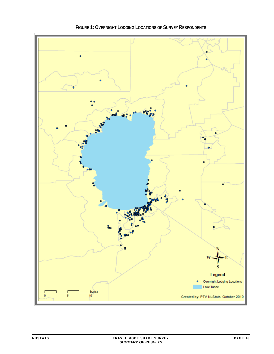<span id="page-19-1"></span><span id="page-19-0"></span>

**FIGURE 1: OVERNIGHT LODGING LOCATIONS OF SURVEY RESPONDENTS**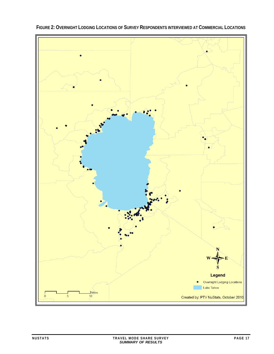<span id="page-20-1"></span><span id="page-20-0"></span>

**FIGURE 2: OVERNIGHT LODGING LOCATIONS OF SURVEY RESPONDENTS INTERVIEWED AT COMMERCIAL LOCATIONS**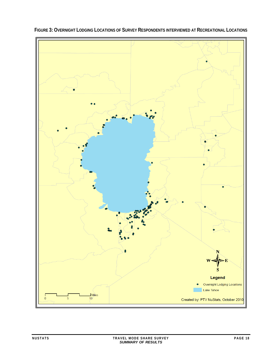<span id="page-21-1"></span>

<span id="page-21-0"></span>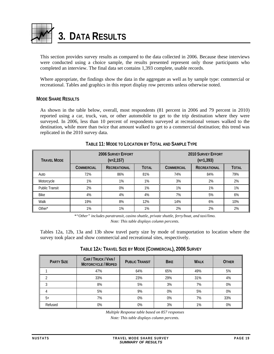<span id="page-22-1"></span><span id="page-22-0"></span>

This section provides survey results as compared to the data collected in 2006. Because these interviews were conducted using a choice sample, the results presented represent only those participants who completed an interview. The final data set contains 1,393 complete, usable records.

Where appropriate, the findings show the data in the aggregate as well as by sample type: commercial or recreational. Tables and graphics in this report display row percents unless otherwise noted.

#### <span id="page-22-2"></span>**MODE SHARE RESULTS**

As shown in the table below, overall, most respondents (81 percent in 2006 and 79 percent in 2010) reported using a car, truck, van, or other automobile to get to the trip destination where they were surveyed. In 2006, less than 10 percent of respondents surveyed at recreational venues walked to the destination, while more than twice that amount walked to get to a commercial destination; this trend was replicated in the 2010 survey data.

<span id="page-22-3"></span>

| <b>TRAVEL MODE</b>    | <b>2006 SURVEY EFFORT</b><br>$(N=2, 157)$                |     |       |                   | <b>2010 SURVEY EFFORT</b><br>$(N=1, 393)$ |              |
|-----------------------|----------------------------------------------------------|-----|-------|-------------------|-------------------------------------------|--------------|
|                       | <b>TOTAL</b><br><b>COMMERCIAL</b><br><b>RECREATIONAL</b> |     |       | <b>COMMERCIAL</b> | <b>RECREATIONAL</b>                       | <b>TOTAL</b> |
| Auto                  | 72%                                                      | 86% | 81%   | 74%               | 84%                                       | 79%          |
| Motorcycle            | 1%                                                       | 1%  | $1\%$ | 3%                | 2%                                        | 2%           |
| <b>Public Transit</b> | 2%                                                       | 0%  | 1%    | 1%                | 1%                                        | 1%           |
| <b>Bike</b>           | 4%                                                       | 4%  | 4%    | 7%                | 5%                                        | 6%           |
| Walk                  | 19%                                                      | 8%  | 12%   | 14%               | 6%                                        | 10%          |
| Other*                | 1%                                                       | 1%  | 1%    | 2%                | 2%                                        | 2%           |

# **TABLE 11: MODE TO LOCATION BY TOTAL AND SAMPLE TYPE**

*\*"Other" includes paratransit, casino shuttle, private shuttle, ferry/boat, and taxi/limo. Note: This table displays column percents.* 

Tables 12a, 12b, 13a and 13b show travel party size by mode of transportation to location where the survey took place and show commercial and recreational sites, respectively.

<span id="page-22-4"></span>

| <b>PARTY SIZE</b> | CAR / TRUCK / VAN /<br><b>MOTORCYCLE / MOPED</b> | <b>PUBLIC TRANSIT</b> | <b>BIKE</b> | <b>WALK</b> | <b>OTHER</b> |
|-------------------|--------------------------------------------------|-----------------------|-------------|-------------|--------------|
|                   | 47%                                              | 64%                   | 65%         | 49%         | 5%           |
|                   | 33%                                              | 23%                   | 29%         | 31%         | 4%           |
|                   | 8%                                               | 5%                    | 3%          | 7%          | 0%           |
| 4                 | 5%                                               | 9%                    | 0%          | 5%          | 0%           |
| $5+$              | 7%                                               | 0%                    | 0%          | 7%          | 33%          |
| Refused           | 0%                                               | 0%                    | 3%          | 1%          | 0%           |

# **TABLE 12A: TRAVEL SIZE BY MODE (COMMERCIAL), 2006 SURVEY**

*Multiple Response table based on 857 responses* 

*Note: This table displays column percents.*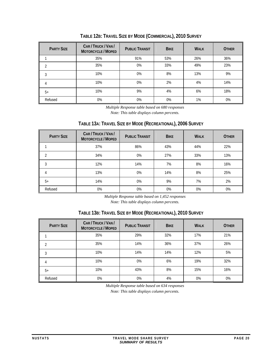<span id="page-23-1"></span><span id="page-23-0"></span>

| <b>PARTY SIZE</b> | CAR / TRUCK / VAN /<br><b>MOTORCYCLE / MOPED</b> | <b>PUBLIC TRANSIT</b> | <b>BIKE</b> | <b>WALK</b> | <b>OTHER</b> |
|-------------------|--------------------------------------------------|-----------------------|-------------|-------------|--------------|
|                   | 35%                                              | 91%                   | 53%         | 26%         | 36%          |
|                   | 35%                                              | 0%                    | 33%         | 49%         | 23%          |
| 3                 | 10%                                              | 0%                    | 8%          | 13%         | 9%           |
| 4                 | 10%                                              | 0%                    | 2%          | 4%          | 14%          |
| $5+$              | 10%                                              | 9%                    | 4%          | 6%          | 18%          |
| Refused           | 0%                                               | 0%                    | 0%          | 1%          | $0\%$        |

**TABLE 12B: TRAVEL SIZE BY MODE (COMMERCIAL), 2010 SURVEY**

*Multiple Response table based on 680 responses* 

*Note: This table displays column percents.* 

# **TABLE 13A: TRAVEL SIZE BY MODE (RECREATIONAL), 2006 SURVEY**

<span id="page-23-2"></span>

| <b>PARTY SIZE</b> | CAR/TRUCK/VAN/<br><b>MOTORCYCLE / MOPED</b> | <b>PUBLIC TRANSIT</b> | <b>BIKE</b> | <b>WALK</b> | <b>OTHER</b> |
|-------------------|---------------------------------------------|-----------------------|-------------|-------------|--------------|
|                   | 37%                                         | 86%                   | 43%         | 44%         | 22%          |
|                   | 34%                                         | 0%                    | 27%         | 33%         | 13%          |
| 3                 | 12%                                         | 14%                   | 7%          | 8%          | 16%          |
| 4                 | 13%                                         | 0%                    | 14%         | 8%          | 25%          |
| $5+$              | 14%                                         | 0%                    | 9%          | 7%          | 2%           |
| Refused           | 0%                                          | 0%                    | $0\%$       | $0\%$       | $0\%$        |

*Multiple Response table based on 1,452 responses* 

*Note: This table displays column percents.* 

# **TABLE 13B: TRAVEL SIZE BY MODE (RECREATIONAL), 2010 SURVEY**

<span id="page-23-3"></span>

| <b>PARTY SIZE</b> | CAR/TRUCK/VAN/<br><b>MOTORCYCLE / MOPED</b> | <b>PUBLIC TRANSIT</b> | <b>BIKE</b> | <b>WALK</b> | <b>OTHER</b> |
|-------------------|---------------------------------------------|-----------------------|-------------|-------------|--------------|
|                   | 35%                                         | 29%                   | 32%         | 17%         | 21%          |
| 2                 | 35%                                         | 14%                   | 36%         | 37%         | 26%          |
| 3                 | 10%                                         | 14%                   | 14%         | 12%         | 5%           |
| 4                 | 10%                                         | 0%                    | 6%          | 19%         | 32%          |
| $5+$              | 10%                                         | 43%                   | 8%          | 15%         | 16%          |
| Refused           | 0%                                          | $0\%$                 | 4%          | $0\%$       | $0\%$        |

*Multiple Response table based on 634 responses* 

*Note: This table displays column percents.*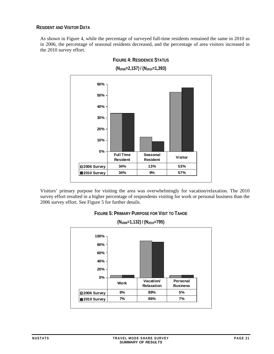# <span id="page-24-1"></span><span id="page-24-0"></span>**RESIDENT AND VISITOR DATA**

<span id="page-24-2"></span>As shown in Figure 4, while the percentage of surveyed full-time residents remained the same in 2010 as in 2006, the percentage of seasonal residents decreased, and the percentage of area visitors increased in the 2010 survey effort.



**FIGURE 4: RESIDENCE STATUS**

<span id="page-24-3"></span>Visitors' primary purpose for visiting the area was overwhelmingly for vacation/relaxation. The 2010 survey effort resulted in a higher percentage of respondents visiting for work or personal business than the 2006 survey effort. See Figure 5 for further details.



**(N2006=1,132) / (N2010=795) 0% 20% 40% 60% 80% 100% 2006 Survey 6% 89% 5% 2010 Survey 7% 86% 7% Work Vacation/ Relaxation Personal Business**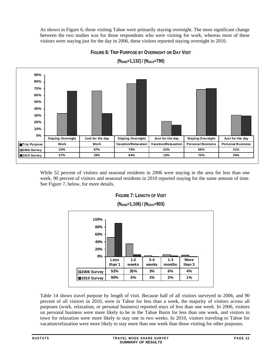<span id="page-25-0"></span>As shown in Figure 6, those visiting Tahoe were primarily staying overnight. The most significant change between the two studies was for those respondents who were visiting for work; whereas most of these visitors were staying just for the day in 2006, these visitors reported staying overnight in 2010.

**FIGURE 6: TRIP PURPOSE BY OVERNIGHT OR DAY VISIT**

<span id="page-25-1"></span>

**(N2006=1,132) / (N2010=790)** 

<span id="page-25-2"></span>While 52 percent of visitors and seasonal residents in 2006 were staying in the area for less than one week, 90 percent of visitors and seasonal residents in 2010 reported staying for the same amount of time. See Figure 7, below, for more details.





**(N2006=1,106) / (N2010=903)** 

Table 14 shows travel purpose by length of visit. Because half of all visitors surveyed in 2006, and 90 percent of all visitors in 2010, were in Tahoe for less than a week, the majority of visitors across all purposes (work, relaxation, or personal business) reported stays of less than one week. In 2006, visitors on personal business were more likely to be in the Tahoe Basin for less than one week, and visitors in town for relaxation were more likely to stay one to two weeks. In 2010, visitors traveling to Tahoe for vacation/relaxation were more likely to stay more than one week than those visiting for other purposes.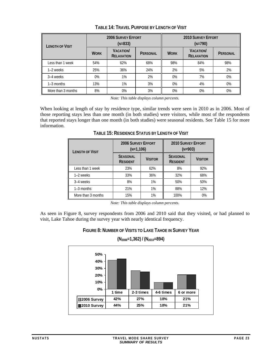<span id="page-26-1"></span><span id="page-26-0"></span>

| <b>LENGTH OF VISIT</b> |             | <b>2006 SURVEY EFFORT</b><br>$(N=833)$ |          | <b>2010 SURVEY EFFORT</b><br>$(N=790)$ |                                      |          |  |
|------------------------|-------------|----------------------------------------|----------|----------------------------------------|--------------------------------------|----------|--|
|                        | <b>WORK</b> | <b>VACATION</b><br><b>RELAXATION</b>   | PERSONAL | <b>WORK</b>                            | <b>VACATION</b><br><b>RELAXATION</b> | PERSONAL |  |
| Less than 1 week       | 54%         | 62%                                    | 68%      | 98%                                    | 84%                                  | 98%      |  |
| 1-2 weeks              | 25%         | 36%                                    | 24%      | 2%                                     | 5%                                   | 2%       |  |
| 3–4 weeks              | $0\%$       | 1%                                     | 2%       | $0\%$                                  | 7%                                   | 0%       |  |
| $1-3$ months           | 13%         | 1%                                     | 3%       | $0\%$                                  | 4%                                   | 0%       |  |
| More than 3 months     | 8%          | 0%                                     | 3%       | $0\%$                                  | $0\%$                                | $0\%$    |  |

**TABLE 14: TRAVEL PURPOSE BY LENGTH OF VISIT**

*Note: This table displays column percents.* 

<span id="page-26-2"></span>When looking at length of stay by residence type, similar trends were seen in 2010 as in 2006. Most of those reporting stays less than one month (in both studies) were visitors, while most of the respondents that reported stays longer than one month (in both studies) were seasonal residents. See Table 15 for more information.

| <b>LENGTH OF VISIT</b> | <b>2006 SURVEY EFFORT</b><br>$(N=1,106)$ |                | <b>2010 SURVEY EFFORT</b><br>$(N=903)$ |                |
|------------------------|------------------------------------------|----------------|----------------------------------------|----------------|
|                        | <b>SEASONAL</b><br><b>RESIDENT</b>       | <b>VISITOR</b> |                                        | <b>VISITOR</b> |
| Less than 1 week       | 23%                                      | 62%            | 8%                                     | 92%            |
| 1-2 weeks              | 33%                                      | 36%            | 32%                                    | 68%            |
| 3-4 weeks              | 8%                                       | 1%             | 50%                                    | 50%            |
| $1-3$ months           | 21%                                      | 1%             | 88%                                    | 12%            |
| More than 3 months     | 15%                                      | 1%             | 100%                                   | 0%             |

**TABLE 15: RESIDENCE STATUS BY LENGTH OF VISIT**

*Note: This table displays column percents.* 

<span id="page-26-3"></span>As seen in Figure 8, survey respondents from 2006 and 2010 said that they visited, or had planned to visit, Lake Tahoe during the survey year with nearly identical frequency.

> **FIGURE 8: NUMBER OF VISITS TO LAKE TAHOE IN SURVEY YEAR (N2006=1,362) / (N2010=894)**

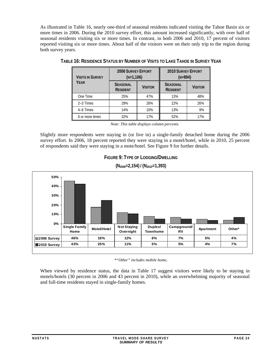<span id="page-27-1"></span><span id="page-27-0"></span>As illustrated in Table 16, nearly one-third of seasonal residents indicated visiting the Tahoe Basin six or more times in 2006. During the 2010 survey effort, this amount increased significantly, with over half of seasonal residents visiting six or more times. In contrast, in both 2006 and 2010, 17 percent of visitors reported visiting six or more times. About half of the visitors were on their only trip to the region during both survey years.

| <b>VISITS IN SURVEY</b> | <b>2006 SURVEY EFFORT</b><br>$(N=1,106)$ |                |                                    | <b>2010 SURVEY EFFORT</b><br>$(N=894)$ |  |  |
|-------------------------|------------------------------------------|----------------|------------------------------------|----------------------------------------|--|--|
| YEAR                    | <b>SEASONAL</b><br><b>RESIDENT</b>       | <b>VISITOR</b> | <b>SEASONAL</b><br><b>RESIDENT</b> | <b>VISITOR</b>                         |  |  |
| One Time                | 25%                                      | 47%            | 13%                                | 48%                                    |  |  |
| 2-3 Times               | 29%                                      | 26%            | 22%                                | 26%                                    |  |  |
| 4-6 Times               | 14%                                      | 10%            | 13%                                | 9%                                     |  |  |
| 6 or more times         | 32%                                      | 17%            | 52%                                | 17%                                    |  |  |

|  | TABLE 16: RESIDENCE STATUS BY NUMBER OF VISITS TO LAKE TAHOE IN SURVEY YEAR |
|--|-----------------------------------------------------------------------------|
|  |                                                                             |

*Note: This table displays column percents.* 

Slightly more respondents were staying in (or live in) a single-family detached home during the 2006 survey effort. In 2006, 18 percent reported they were staying in a motel/hotel, while in 2010, 25 percent of respondents said they were staying in a mote/hotel. See Figure 9 for further details.



<span id="page-27-2"></span>

**(N2006=2,154) / (N2010=1,393)** 

*\*"Other" includes mobile home*.

When viewed by residence status, the data in Table 17 suggest visitors were likely to be staying in motels/hotels (30 percent in 2006 and 43 percent in 2010), while an overwhelming majority of seasonal and full-time residents stayed in single-family homes.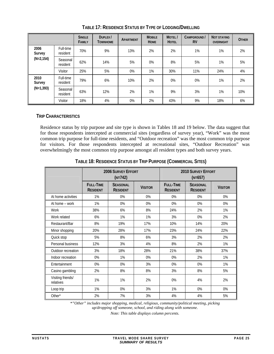<span id="page-28-2"></span><span id="page-28-0"></span>

|                |                       | <b>SINGLE</b><br><b>FAMILY</b> | DUPLEX/<br><b>TOWNHOME</b> | <b>APARTMENT</b> | <b>MOBILE</b><br><b>HOME</b> | MOTEL/<br><b>HOTEL</b> | CAMPGROUND /<br><b>RV</b> | <b>NOT STAYING</b><br><b>OVERNIGHT</b> | <b>OTHER</b> |
|----------------|-----------------------|--------------------------------|----------------------------|------------------|------------------------------|------------------------|---------------------------|----------------------------------------|--------------|
| 2006<br>Survey | Full-time<br>resident | 70%                            | 9%                         | 13%              | 2%                           | 2%                     | 1%                        | 1%                                     | 2%           |
| $(N=2, 154)$   | Seasonal<br>resident  | 62%                            | 14%                        | 5%               | 0%                           | 8%                     | 5%                        | 1%                                     | 5%           |
|                | <b>Visitor</b>        | 25%                            | 5%                         | 0%               | 1%                           | 30%                    | 11%                       | 24%                                    | 4%           |
| 2010<br>Survey | Full-time<br>resident | 79%                            | 6%                         | 10%              | 2%                           | 0%                     | 0%                        | 1%                                     | 2%           |
| $(N=1, 393)$   | Seasonal<br>resident  | 63%                            | 12%                        | 2%               | 1%                           | 9%                     | 3%                        | 1%                                     | 10%          |
|                | <b>Visitor</b>        | 18%                            | 4%                         | 0%               | 2%                           | 43%                    | 9%                        | 18%                                    | 6%           |

**TABLE 17: RESIDENCE STATUS BY TYPE OF LODGING/DWELLING** 

# <span id="page-28-1"></span>**TRIP CHARACTERISTICS**

Residence status by trip purpose and site type is shown in Tables 18 and 19 below. The data suggest that for those respondents intercepted at commercial sites (regardless of survey year), "Work" was the most common trip purpose for full-time residents, and "Outdoor recreation" was the most common trip purpose for visitors. For those respondents intercepted at recreational sites, "Outdoor Recreation" was overwhelmingly the most common trip purpose amongst all resident types and both survey years.

<span id="page-28-3"></span>

|                                |                                     | <b>2006 SURVEY EFFORT</b><br>$(N=742)$ |                |                                     | <b>2010 SURVEY EFFORT</b><br>$(N=657)$ |                |  |  |
|--------------------------------|-------------------------------------|----------------------------------------|----------------|-------------------------------------|----------------------------------------|----------------|--|--|
|                                | <b>FULL-TIME</b><br><b>RESIDENT</b> | <b>SEASONAL</b><br><b>RESIDENT</b>     | <b>VISITOR</b> | <b>FULL-TIME</b><br><b>RESIDENT</b> | <b>SEASONAL</b><br><b>RESIDENT</b>     | <b>VISITOR</b> |  |  |
| At home activities             | 1%                                  | 0%                                     | 0%             | 0%                                  | 0%                                     | 0%             |  |  |
| At home - work                 | 1%                                  | 0%                                     | 0%             | 0%                                  | 0%                                     | 0%             |  |  |
| Work                           | 38%                                 | 6%                                     | 8%             | 24%                                 | 2%                                     | 1%             |  |  |
| Work related                   | 6%                                  | 1%                                     | 1%             | 3%                                  | 0%                                     | 2%             |  |  |
| Restaurant/Bar                 | 8%                                  | 19%                                    | 17%            | 10%                                 | 14%                                    | 20%            |  |  |
| Minor shopping                 | 20%                                 | 28%                                    | 17%            | 23%                                 | 24%                                    | 22%            |  |  |
| Quick stop                     | 5%                                  | 8%                                     | 6%             | 3%                                  | 2%                                     | 2%             |  |  |
| Personal business              | 12%                                 | 3%                                     | 4%             | 8%                                  | 2%                                     | 1%             |  |  |
| Outdoor recreation             | 3%                                  | 18%                                    | 28%            | 21%                                 | 38%                                    | 37%            |  |  |
| Indoor recreation              | 0%                                  | 1%                                     | 0%             | 0%                                  | 2%                                     | 1%             |  |  |
| Entertainment                  | 0%                                  | 0%                                     | 3%             | 0%                                  | 0%                                     | 1%             |  |  |
| Casino gambling                | 2%                                  | 8%                                     | 8%             | 3%                                  | 8%                                     | 5%             |  |  |
| Visiting friends/<br>relatives | 1%                                  | 1%                                     | 2%             | 0%                                  | 4%                                     | 2%             |  |  |
| Loop trip                      | 1%                                  | 0%                                     | 3%             | 1%                                  | 0%                                     | 0%             |  |  |
| Other*                         | 2%                                  | 7%                                     | 3%             | 4%                                  | 4%                                     | 5%             |  |  |

**TABLE 18: RESIDENCE STATUS BY TRIP PURPOSE (COMMERCIAL SITES)** 

*\*"Other" includes major shopping, medical, religious, community/political meeting, picking up/dropping off someone, school, and riding along with someone.* 

*Note: This table displays column percents.*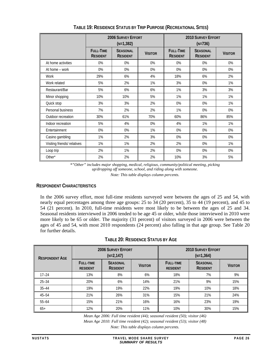<span id="page-29-2"></span><span id="page-29-0"></span>

|                             |                                     | <b>2006 SURVEY EFFORT</b><br>$(N=1,382)$ |                | <b>2010 SURVEY EFFORT</b><br>$(N=736)$ |                                    |                |  |
|-----------------------------|-------------------------------------|------------------------------------------|----------------|----------------------------------------|------------------------------------|----------------|--|
|                             | <b>FULL-TIME</b><br><b>RESIDENT</b> | <b>SEASONAL</b><br><b>RESIDENT</b>       | <b>VISITOR</b> | <b>FULL-TIME</b><br><b>RESIDENT</b>    | <b>SEASONAL</b><br><b>RESIDENT</b> | <b>VISITOR</b> |  |
| At home activities          | 0%                                  | 0%                                       | 0%             | 0%                                     | 0%                                 | 0%             |  |
| At home - work              | 0%                                  | 0%                                       | 0%             | 0%                                     | 0%                                 | 0%             |  |
| Work                        | 29%                                 | 6%                                       | 4%             | 18%                                    | 6%                                 | 2%             |  |
| Work related                | 5%                                  | 2%                                       | 1%             | 3%                                     | 0%                                 | 1%             |  |
| Restaurant/Bar              | 5%                                  | 6%                                       | 6%             | 1%                                     | 3%                                 | 3%             |  |
| Minor shopping              | 10%                                 | 10%                                      | 5%             | 1%                                     | 1%                                 | 1%             |  |
| Quick stop                  | 3%                                  | 3%                                       | 2%             | 0%                                     | 0%                                 | 1%             |  |
| Personal business           | 7%                                  | 2%                                       | 2%             | 1%                                     | 0%                                 | 0%             |  |
| Outdoor recreation          | 30%                                 | 61%                                      | 70%            | 60%                                    | 86%                                | 85%            |  |
| Indoor recreation           | 5%                                  | 4%                                       | 0%             | 4%                                     | 1%                                 | 1%             |  |
| Entertainment               | 0%                                  | 0%                                       | 1%             | 0%                                     | 0%                                 | 0%             |  |
| Casino gambling             | 1%                                  | 2%                                       | 3%             | 0%                                     | 0%                                 | 0%             |  |
| Visiting friends/ relatives | 1%                                  | 1%                                       | 2%             | 2%                                     | 0%                                 | 1%             |  |
| Loop trip                   | 2%                                  | 1%                                       | 2%             | 0%                                     | 0%                                 | 0%             |  |
| Other*                      | 2%                                  | 2%                                       | 2%             | 10%                                    | 3%                                 | 5%             |  |

**TABLE 19: RESIDENCE STATUS BY TRIP PURPOSE (RECREATIONAL SITES)** 

*\*"Other" includes major shopping, medical, religious, community/political meeting, picking up/dropping off someone, school, and riding along with someone.* 

*Note: This table displays column percents.* 

# <span id="page-29-1"></span>**RESPONDENT CHARACTERISTICS**

In the 2006 survey effort, most full-time residents surveyed were between the ages of 25 and 54, with nearly equal percentages among three age groups: 25 to 34 (20 percent), 35 to 44 (19 percent), and 45 to 54 (21 percent). In 2010, full-time residents were most likely to be between the ages of 25 and 34. Seasonal residents interviewed in 2006 tended to be age 45 or older, while those interviewed in 2010 were more likely to be 65 or older. The majority (31 percent) of visitors surveyed in 2006 were between the ages of 45 and 54, with most 2010 respondents (24 percent) also falling in that age group. See Table 20 for further details.

# **TABLE 20: RESIDENCE STATUS BY AGE**

<span id="page-29-3"></span>

| <b>RESPONDENT AGE</b> |                                                                           | <b>2006 SURVEY EFFORT</b><br>$(N=2, 147)$ |                |                                     | 2010 SURVEY FEFORT<br>$(N=1,364)$  |                |  |
|-----------------------|---------------------------------------------------------------------------|-------------------------------------------|----------------|-------------------------------------|------------------------------------|----------------|--|
|                       | <b>SEASONAL</b><br><b>FULL-TIME</b><br><b>RESIDENT</b><br><b>RESIDENT</b> |                                           | <b>VISITOR</b> | <b>FULL-TIME</b><br><b>RESIDENT</b> | <b>SEASONAL</b><br><b>RESIDENT</b> | <b>VISITOR</b> |  |
| $17 - 24$             | 13%                                                                       | 8%                                        | 6%             | 18%                                 | 7%                                 | 9%             |  |
| $25 - 34$             | 20%                                                                       | 6%                                        | 14%            | 21%                                 | 9%                                 | 15%            |  |
| $35 - 44$             | 19%                                                                       | 19%                                       | 22%            | 19%                                 | 10%                                | 18%            |  |
| $45 - 54$             | 21%                                                                       | 26%                                       | 31%            | 15%                                 | 21%                                | 24%            |  |
| $55 - 64$             | 15%                                                                       | 21%                                       | 16%            | 16%                                 | 23%                                | 19%            |  |
| $65+$                 | 12%                                                                       | 20%                                       | 11%            | 10%                                 | 30%                                | 15%            |  |

*Mean Age 2006: Full time resident (44); seasonal resident (50); visitor (46)* 

*Mean Age 2010: Full time resident (42); seasonal resident (53); visitor (48)* 

*Note: This table displays column percents.*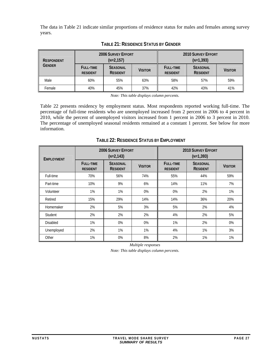<span id="page-30-0"></span>The data in Table 21 indicate similar proportions of residence status for males and females among survey years.

<span id="page-30-1"></span>

| <b>RESPONDENT</b> |                                     | <b>2006 SURVEY EFFORT</b><br>$(N=2,157)$             |     |                                     | <b>2010 SURVEY EFFORT</b><br>$(N=1,393)$ |                |
|-------------------|-------------------------------------|------------------------------------------------------|-----|-------------------------------------|------------------------------------------|----------------|
| <b>GENDER</b>     | <b>FULL-TIME</b><br><b>RESIDENT</b> | <b>SEASONAL</b><br><b>VISITOR</b><br><b>RESIDENT</b> |     | <b>FULL-TIME</b><br><b>RESIDENT</b> | <b>SEASONAL</b><br><b>RESIDENT</b>       | <b>VISITOR</b> |
| Male              | 60%                                 | 55%                                                  | 63% | 58%                                 | 57%                                      | 59%            |
| Female            | 40%                                 | 45%                                                  | 37% | 42%                                 | 43%                                      | 41%            |

**TABLE 21: RESIDENCE STATUS BY GENDER**

*Note: This table displays column percents.* 

Table 22 presents residency by employment status. Most respondents reported working full-time. The percentage of full-time residents who are unemployed increased from 2 percent in 2006 to 4 percent in 2010, while the percent of unemployed visitors increased from 1 percent in 2006 to 3 percent in 2010. The percentage of unemployed seasonal residents remained at a constant 1 percent. See below for more information.

**TABLE 22: RESIDENCE STATUS BY EMPLOYMENT**

<span id="page-30-2"></span>

| <b>EMPLOYMENT</b> | <b>2006 SURVEY EFFORT</b><br>$(N=2, 143)$ |                                    |                | <b>2010 SURVEY EFFORT</b><br>$(N=1,393)$ |                                    |                |  |
|-------------------|-------------------------------------------|------------------------------------|----------------|------------------------------------------|------------------------------------|----------------|--|
|                   | <b>FULL-TIME</b><br><b>RESIDENT</b>       | <b>SEASONAL</b><br><b>RESIDENT</b> | <b>VISITOR</b> | <b>FULL-TIME</b><br><b>RESIDENT</b>      | <b>SEASONAL</b><br><b>RESIDENT</b> | <b>VISITOR</b> |  |
| Full-time         | 70%                                       | 56%                                | 74%            | 55%                                      | 44%                                | 59%            |  |
| Part-time         | 10%                                       | 9%                                 | 6%             | 14%                                      | 11%                                | 7%             |  |
| Volunteer         | 1%                                        | 1%                                 | 0%             | 0%                                       | 2%                                 | 1%             |  |
| Retired           | 15%                                       | 29%                                | 14%            | 14%                                      | 36%                                | 20%            |  |
| Homemaker         | 2%                                        | 5%                                 | 3%             | 5%                                       | 2%                                 | 4%             |  |
| Student           | 2%                                        | 2%                                 | 2%             | 4%                                       | 2%                                 | 5%             |  |
| <b>Disabled</b>   | 1%                                        | $0\%$                              | 0%             | 1%                                       | 2%                                 | 0%             |  |
| Unemployed        | 2%                                        | 1%                                 | $1\%$          | 4%                                       | $1\%$                              | 3%             |  |
| Other             | 1%                                        | $0\%$                              | 8%             | 2%                                       | 1%                                 | 1%             |  |

*Multiple responses Note: This table displays column percents.*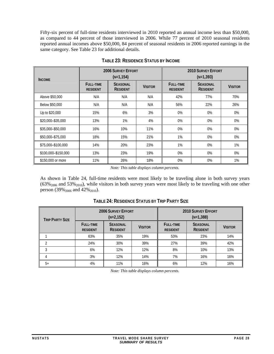<span id="page-31-0"></span>Fifty-six percent of full-time residents interviewed in 2010 reported an annual income less than \$50,000, as compared to 44 percent of those interviewed in 2006. While 77 percent of 2010 seasonal residents reported annual incomes above \$50,000, 84 percent of seasonal residents in 2006 reported earnings in the same category. See Table 23 for additional details.

<span id="page-31-1"></span>

| <b>INCOME</b>       | <b>2006 SURVEY EFFORT</b><br>$(N=1, 154)$ |                                    |                | <b>2010 SURVEY EFFORT</b><br>$(N=1,393)$ |                                    |                |  |
|---------------------|-------------------------------------------|------------------------------------|----------------|------------------------------------------|------------------------------------|----------------|--|
|                     | <b>FULL-TIME</b><br><b>RESIDENT</b>       | <b>SEASONAL</b><br><b>RESIDENT</b> | <b>VISITOR</b> | <b>FULL-TIME</b><br><b>RESIDENT</b>      | <b>SEASONAL</b><br><b>RESIDENT</b> | <b>VISITOR</b> |  |
| Above \$50,000      | N/A                                       | N/A                                | N/A            | 42%                                      | 77%                                | 70%            |  |
| Below \$50,000      | N/A                                       | N/A                                | N/A            | 56%                                      | 22%                                | 26%            |  |
| Up to \$20,000      | 15%                                       | 6%                                 | 3%             | 0%                                       | 0%                                 | 0%             |  |
| \$20,000-\$35,000   | 13%                                       | 1%                                 | 4%             | 0%                                       | 0%                                 | $0\%$          |  |
| \$35,000-\$50,000   | 16%                                       | 10%                                | 11%            | 0%                                       | $0\%$                              | $0\%$          |  |
| \$50,000-\$75,000   | 18%                                       | 15%                                | 21%            | 1%                                       | $0\%$                              | $0\%$          |  |
| \$75,000-\$100,000  | 14%                                       | 20%                                | 23%            | 1%                                       | $0\%$                              | $1\%$          |  |
| \$100,000-\$150,000 | 13%                                       | 23%                                | 19%            | 0%                                       | 0%                                 | 0%             |  |
| \$150,000 or more   | 11%                                       | 26%                                | 18%            | $0\%$                                    | $0\%$                              | 1%             |  |

**TABLE 23: RESIDENCE STATUS BY INCOME**

*Note: This table displays column percents.* 

As shown in Table 24, full-time residents were most likely to be traveling alone in both survey years  $(63\%_{2006}$  and 53%<sub>2010</sub>), while visitors in both survey years were most likely to be traveling with one other person (39%<sub>2006</sub> and 42%<sub>2010</sub>).

<span id="page-31-2"></span>

| <b>TRIP PARTY SIZE</b> |                                     | <b>2006 SURVEY EFFORT</b><br>$(N=2, 152)$            |     |                                     | <b>2010 SURVEY EFFORT</b><br>$(N=1,388)$ |                |
|------------------------|-------------------------------------|------------------------------------------------------|-----|-------------------------------------|------------------------------------------|----------------|
|                        | <b>FULL-TIME</b><br><b>RESIDENT</b> | <b>SEASONAL</b><br><b>VISITOR</b><br><b>RESIDENT</b> |     | <b>FULL-TIME</b><br><b>RESIDENT</b> | <b>SEASONAL</b><br><b>RESIDENT</b>       | <b>VISITOR</b> |
|                        | 63%                                 | 35%                                                  | 19% | 53%                                 | 23%                                      | 14%            |
| ↑                      | 24%                                 | 30%                                                  | 39% | 27%                                 | 39%                                      | 42%            |
| 3                      | 6%                                  | 12%                                                  | 12% | 8%                                  | 10%                                      | 13%            |
| 4                      | 3%                                  | 12%                                                  | 14% | 7%                                  | 16%                                      | 16%            |
| $5+$                   | 4%                                  | 11%                                                  | 16% | 6%                                  | 12%                                      | 16%            |

**TABLE 24: RESIDENCE STATUS BY TRIP PARTY SIZE**

*Note: This table displays column percents.*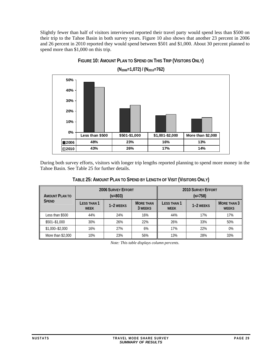<span id="page-32-2"></span><span id="page-32-0"></span>Slightly fewer than half of visitors interviewed reported their travel party would spend less than \$500 on their trip to the Tahoe Basin in both survey years. Figure 10 also shows that another 23 percent in 2006 and 26 percent in 2010 reported they would spend between \$501 and \$1,000. About 30 percent planned to spend more than \$1,000 on this trip.





**(N2006=1,072) / (N2010=762)** 

During both survey efforts, visitors with longer trip lengths reported planning to spend more money in the Tahoe Basin. See Table 25 for further details.

| TABLE 25: AMOUNT PLAN TO SPEND BY LENGTH OF VISIT (VISITORS ONLY) |  |
|-------------------------------------------------------------------|--|

<span id="page-32-1"></span>

| <b>AMOUNT PLAN TO</b> | <b>2006 SURVEY EFFORT</b><br>$(N=803)$ |           |                             | <b>2010 SURVEY EFFORT</b><br>$(N=758)$ |           |                                    |
|-----------------------|----------------------------------------|-----------|-----------------------------|----------------------------------------|-----------|------------------------------------|
| <b>SPEND</b>          | LESS THAN 1<br><b>WEEK</b>             | 1–2 WEEKS | <b>MORE THAN</b><br>3 WEEKS | LESS THAN 1<br><b>WEEK</b>             | 1-2 WEEKS | <b>MORE THAN 3</b><br><b>WEEKS</b> |
| Less than \$500       | 44%                                    | 24%       | 16%                         | 44%                                    | 17%       | 17%                                |
| \$501-\$1,000         | 30%                                    | 26%       | 22%                         | 26%                                    | 33%       | 50%                                |
| $$1,000 - $2,000$     | 16%                                    | 27%       | 6%                          | 17%                                    | 22%       | $0\%$                              |
| More than \$2,000     | 10%                                    | 23%       | 56%                         | 13%                                    | 28%       | 33%                                |

*Note: This table displays column percents.*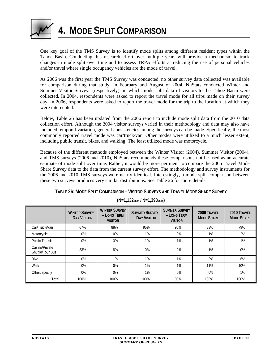<span id="page-33-1"></span><span id="page-33-0"></span>

**4. MODE SPLIT COMPARISON** 

One key goal of the TMS Survey is to identify mode splits among different resident types within the Tahoe Basin. Conducting this research effort over multiple years will provide a mechanism to track changes in mode split over time and to assess TRPA efforts at reducing the use of personal vehicles and/or travel where single occupancy vehicles are the mode of travel.

As 2006 was the first year the TMS Survey was conducted, no other survey data collected was available for comparison during that study. In February and August of 2004, NuStats conducted Winter and Summer Visitor Surveys (respectively), in which mode split data of visitors to the Tahoe Basin were collected. In 2004, respondents were asked to report the travel mode for all trips made on their survey day. In 2006, respondents were asked to report the travel mode for the trip to the location at which they were intercepted.

Below, Table 26 has been updated from the 2006 report to include mode split data from the 2010 data collection effort. Although the 2004 visitor surveys varied in their methodology and data may also have included temporal variation, general consistencies among the surveys can be made. Specifically, the most commonly reported travel mode was car/truck/van. Other modes were utilized to a much lesser extent, including public transit, bikes, and walking. The least utilized mode was motorcycle.

Because of the different methods employed between the Winter Visitor (2004), Summer Visitor (2004), and TMS surveys (2006 and 2010), NuStats recommends these comparisons not be used as an accurate estimate of mode split over time. Rather, it would be more pertinent to compare the 2006 Travel Mode Share Survey data to the data from the current survey effort. The methodology and survey instruments for the 2006 and 2010 TMS surveys were nearly identical. Interestingly, a mode split comparison between these two surveys produces very similar distributions. See Table 26 for more details.

|  | TABLE 26: MODE SPLIT COMPARISON - VISITOR SURVEYS AND TRAVEL MODE SHARE SURVEY |
|--|--------------------------------------------------------------------------------|
|--|--------------------------------------------------------------------------------|

<span id="page-33-2"></span>

|                                    | <b>WINTER SURVEY</b><br>- DAY VISITOR | <b>WINTER SURVEY</b><br>- LONG TERM<br><b>VISITOR</b> | <b>SUMMER SURVEY</b><br>- DAY VISITOR | <b>SUMMER SURVEY</b><br>- LONG TERM<br><b>VISITOR</b> | 2006 TRAVEL<br><b>MODE SHARE</b> | 2010 TRAVEL<br><b>MODE SHARE</b> |
|------------------------------------|---------------------------------------|-------------------------------------------------------|---------------------------------------|-------------------------------------------------------|----------------------------------|----------------------------------|
| Car/Truck/Van                      | 67%                                   | 88%                                                   | 95%                                   | 95%                                                   | 83%                              | 79%                              |
| Motorcycle                         | 0%                                    | $0\%$                                                 | 1%                                    | 0%                                                    | 1%                               | 2%                               |
| <b>Public Transit</b>              | 0%                                    | 3%                                                    | 1%                                    | 1%                                                    | 1%                               | 1%                               |
| Casino/Private<br>Shuttle/Tour Bus | 33%                                   | 8%                                                    | 0%                                    | 2%                                                    | 1%                               | 0%                               |
| <b>Bike</b>                        | 0%                                    | 1%                                                    | 1%                                    | 1%                                                    | 3%                               | 6%                               |
| Walk                               | 0%                                    | 0%                                                    | 1%                                    | $1\%$                                                 | 11%                              | 10%                              |
| Other, specify                     | 0%                                    | 0%                                                    | 1%                                    | $0\%$                                                 | 0%                               | 1%                               |
| Total                              | 100%                                  | 100%                                                  | 100%                                  | 100%                                                  | 100%                             | 100%                             |

**(N=1,1322006 / N=1,3932010)**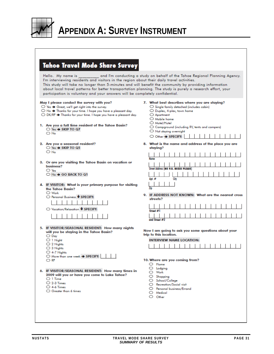<span id="page-34-1"></span><span id="page-34-0"></span>

Г

# **APPENDIX A: SURVEY INSTRUMENT**

| <b>Tahoe Travel Mode Share Survey</b>                                                                                                                                                                                                                                                                                                                                                                                   |                                                                                                                                                                                                                                                                                                        |
|-------------------------------------------------------------------------------------------------------------------------------------------------------------------------------------------------------------------------------------------------------------------------------------------------------------------------------------------------------------------------------------------------------------------------|--------------------------------------------------------------------------------------------------------------------------------------------------------------------------------------------------------------------------------------------------------------------------------------------------------|
| Hello. My name is<br>I'm interviewing residents and visitors in the region about their daily travel activities.<br>This study will take no longer than 5-minutes and will benefit the community by providing information<br>about local travel patterns for better transportation planning. The study is purely a research effort, your<br>participation is voluntary and your answers will be completely confidential. | and I'm conducting a study on behalf of the Tahoe Regional Planning Agency.                                                                                                                                                                                                                            |
| May I please conduct the survey with you?<br>$\bigcirc$ Yes $\bigcirc$ Great, we'll get right into the survey.<br>$\bigcirc$ No $\bigcirc$ Thanks for your time. I hope you have a pleasant day.<br>$\bigcirc$ DK/RF $\bigcirc$ Thanks for your time. I hope you have a pleasant day.<br>1. Are you a full time resident of the Tahoe Basin?<br>$\bigcirc$ Yes $\rightarrow$ SKIP TO Q7<br>$\bigcirc$ No                | 7. What best describes where you are staying?<br>$\bigcirc$ Single family detached (includes cabin)<br>O Duplex, 4-plex, town home<br>○ Apartment<br>$\bigcirc$ Mobile home<br>Motel/Hotel<br>$\bigcirc$ Campground (including RV, tents and campers)<br>O Not staying overnight<br>○ Other → SPECIFY: |
| 2. Are you a seasonal resident?<br>○ Yes → SKIP TO Q5<br>$\bigcirc$ No                                                                                                                                                                                                                                                                                                                                                  | 8. What is the name and address of the place you are<br>staying?                                                                                                                                                                                                                                       |
| 3. Or are you visiting the Tahoe Basin on vacation or<br>business?<br>$\bigcirc$ Yes<br>$\bigcirc$ N <sub>o</sub> $\rightarrow$ GO BACK TO Q1                                                                                                                                                                                                                                                                           | Name<br>Street Address (NO P.O. BOXES PLEASE)<br>Apt.#<br><b>Gtv</b>                                                                                                                                                                                                                                   |
| 4. IF VISITOR: What is your primary purpose for visiting<br>the Tahoe Basin?<br>$\bigcirc$ Work<br>○ Personal Business ♥ SPECIFY:<br>○ Vacation/Relaxation ♥ SPECIFY:                                                                                                                                                                                                                                                   | 9. IF ADDRESS NOT KNOWN: What are the nearest cross<br>streets?<br>Stroot #1<br>and Stroot #2                                                                                                                                                                                                          |
| 5. IF VISITOR/SEASONAL RESIDENT: How many nights<br>will you be staying in the Tahoe Basin?<br>$\bigcirc$ Day<br>$\bigcirc$ 1 Night<br>$\bigcirc$ 2 Nights<br>○ 3 Nights<br>C 4-7 Nights<br>○ More than one week → SPECIFY:<br>O RF                                                                                                                                                                                     | Now I am going to ask you some questions about your<br>trip to this location.<br><b>INTERVIEW NAME LOCATION:</b><br>10. Where are you coming from?                                                                                                                                                     |
| 6. IF VISITOR/SEASONAL RESIDENT: How many times in<br>2009 will you or have you come to Lake Tahoe?<br>$\bigcirc$ 1 Time<br>$O$ 2-3 Times<br>$O$ 4-6 Times<br>○ Greater than 6 times                                                                                                                                                                                                                                    | $\circ$ Home<br>$\circ$ Lodging<br>$\bigcirc$ Work<br>$\circ$ Shopping<br>School/College<br>Recreation/Social visit<br>○ Personal business/Errand<br>$\bigcirc$ Medical<br>$\circ$ Other                                                                                                               |
|                                                                                                                                                                                                                                                                                                                                                                                                                         |                                                                                                                                                                                                                                                                                                        |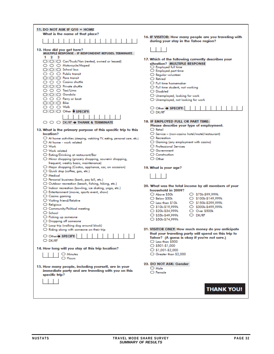| 11. DO NOT ASK IF Q10 = HOME<br>What is the name of that place?                            |                                                                                                 |
|--------------------------------------------------------------------------------------------|-------------------------------------------------------------------------------------------------|
|                                                                                            | 16. IF VISITOR: How many people are you traveling with<br>during your stay in the Tahoe region? |
| 12. How did you get here?<br>MULTIPLE RESPONSE - IF RESPONDENT REFUSES, TERMINATE.         |                                                                                                 |
| $1\quad 2$<br>з                                                                            | 17. Which of the following currently describes your                                             |
| ○ ○ ○ Car/Truck/Van (rented, owned or leased)<br>○ ○ ○ Motorcycle/Moped                    | situation? MULTIPLE RESPONSE                                                                    |
| $\bigcirc$ $\bigcirc$ $\bigcirc$ School bus                                                | ○ Employed full time                                                                            |
| $\bigcirc$ $\bigcirc$ $\bigcirc$ Public transit                                            | C Employed part time<br>O Regular volunteer                                                     |
| $\bigcirc$ $\bigcirc$ $\bigcirc$ Para transit                                              | ○ Retired                                                                                       |
| $\bigcirc$ $\bigcirc$ $\bigcirc$ Casino shuttle                                            | ○ Full time homemaker                                                                           |
| $\bigcirc$ $\bigcirc$ $\bigcirc$ Private shuttle                                           | $\bigcirc$ Full time student, not working                                                       |
| $\bigcirc$ $\bigcirc$ $\bigcirc$ Taxi/Limo                                                 | ○ Disabled                                                                                      |
| $\bigcirc$ $\bigcirc$ $\bigcirc$ Gondola                                                   | $\bigcirc$ Unemployed, looking for work                                                         |
| $\bigcirc$ $\bigcirc$ $\bigcirc$ Ferry or boat                                             | $\bigcirc$ Unemployed, not looking for work                                                     |
| $\bigcirc$ $\bigcirc$ $\bigcirc$ Bike<br>$\circ$ $\circ$ $\circ$ Walk                      |                                                                                                 |
| $\bigcirc$ $\bigcirc$ $\bigcirc$ Other $\blacklozenge$ SPECIFY:                            | ○ Other → SPECIFY:                                                                              |
|                                                                                            | O DK/RF                                                                                         |
|                                                                                            | 18. IF EMPLOYED FULL OR PART TIME:                                                              |
| $\bigcirc$ $\bigcirc$ $\bigcirc$ DK/RF $\rightarrow$ THANK & TERMINATE                     | Please describe your type of employment.                                                        |
| 13. What is the primary purpose of this specific trip to this                              | $\bigcirc$ Retail                                                                               |
| location?                                                                                  | $\bigcirc$ Service - (non-casino hotel/motel/restaurant)                                        |
| $\bigcirc$ At home activities (sleeping, watching TV, eating, personal care, etc.)         | $\bigcirc$ Recreation                                                                           |
| $\bigcirc$ At home - work related                                                          | $\bigcirc$ Gaming (any employment with casino)                                                  |
| $\bigcirc$ Work                                                                            | O Professional Services                                                                         |
| $\bigcirc$ Work related                                                                    | ○ Government                                                                                    |
| C Eating/Drinking at restaurant/Bar                                                        | ○ Construction                                                                                  |
| $\bigcirc$ Minor shopping (grocery shopping, souvenir shopping,                            | O Other                                                                                         |
| frequent, weekly basis, maintenance)                                                       |                                                                                                 |
| O Major shopping (Costco, appliance, car, on occasion)<br>Q Quick stop (coffee, gas, etc.) | 19. What is your age?                                                                           |
| $\bigcirc$ Medical                                                                         |                                                                                                 |
| O Personal business (bank, pay bill, etc.)                                                 |                                                                                                 |
| ○ Outdoor recreation (beach, fishing, hiking, etc.)                                        |                                                                                                 |
| O Indoor recreation (bowling, ice skating, yoga, etc.)                                     | 20. What was the total income by all members of your<br>household in 2009?                      |
| ○ Entertainment (movie, sports event, show)                                                | ○ Above \$50k<br>○ \$75k-\$99,999k                                                              |
| $\bigcirc$ Casino gaming                                                                   | $\bigcirc$ Below \$50k<br>$O$ \$100k-\$149,999k                                                 |
| ○ Visiting friend/Relative                                                                 | $\bigcirc$ Less than \$10k<br>O \$150k-\$299,999k                                               |
| $\bigcirc$ Religious<br>C Community/Political meeting                                      | ○ \$10k-\$19,999k<br>S300k-\$499,999k                                                           |
| $\bigcirc$ School                                                                          | ○ \$20k-\$34,999k<br>$\bigcirc$ Over \$500k                                                     |
| O Picking up someone                                                                       | $\bigcirc$ DK/RF<br>○ \$35k-\$49,999k                                                           |
| O Dropping off someone                                                                     | ○ \$50k-\$74,999k                                                                               |
| O Loop trip (walking dog around block)                                                     |                                                                                                 |
| $\bigcirc$ Riding along with someone on their trip                                         | 21. VISITOR ONLY: How much money do you anticipate                                              |
| ○ Other> SPECIFY:                                                                          | that your traveling party will spend on this trip to                                            |
| $\bigcirc$ DK/RF                                                                           | Tahoe? (A guess is okay if you're not sure.)<br>$\bigcirc$ Less than \$500                      |
|                                                                                            | $\circ$ \$501-\$1,000                                                                           |
| 14. How long will you stay at this trip location?                                          | $\circ$ \$1,001-\$2,000                                                                         |
| ○ Minutes                                                                                  | ○ Greater than \$2,000                                                                          |
| $\bigcirc$ Hours                                                                           |                                                                                                 |
|                                                                                            | 22. DO NOT ASK: Gender                                                                          |
| 15. How many people, including yourself, are in your                                       | $\bigcirc$ Male                                                                                 |
| immediate party and are traveling with you on this                                         | $\bigcirc$ Female                                                                               |
| specific trip?                                                                             |                                                                                                 |
|                                                                                            |                                                                                                 |
|                                                                                            | <b>THANK YOU!</b>                                                                               |
|                                                                                            |                                                                                                 |
|                                                                                            |                                                                                                 |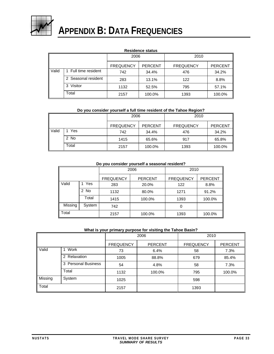<span id="page-36-1"></span><span id="page-36-0"></span>

# **APPENDIX B: DATA FREQUENCIES**

#### **Residence status**

|       |                     | 2006<br><b>FREQUENCY</b><br><b>PERCENT</b> |        | 2010             |                |
|-------|---------------------|--------------------------------------------|--------|------------------|----------------|
|       |                     |                                            |        | <b>FREQUENCY</b> | <b>PERCENT</b> |
| Valid | Full time resident  | 742                                        | 34.4%  | 476              | 34.2%          |
|       | 2 Seasonal resident | 283                                        | 13.1%  | 122              | 8.8%           |
|       | Visitor<br>3        | 1132                                       | 52.5%  | 795              | 57.1%          |
|       | Total               | 2157                                       | 100.0% | 1393             | 100.0%         |

#### **Do you consider yourself a full time resident of the Tahoe Region?**

|       |       | 2006             |                | 2010             |                |
|-------|-------|------------------|----------------|------------------|----------------|
|       |       | <b>FREQUENCY</b> | <b>PERCENT</b> | <b>FREQUENCY</b> | <b>PERCENT</b> |
| Valid | Yes   | 742              | 34.4%          | 476              | 34.2%          |
|       | 2 No  | 1415             | 65.6%          | 917              | 65.8%          |
|       | Total | 2157             | 100.0%         | 1393             | 100.0%         |

#### **Do you consider yourself a seasonal resident?**

|         |        |                  | 2006           | 2010             |                |
|---------|--------|------------------|----------------|------------------|----------------|
|         |        | <b>FREQUENCY</b> | <b>PERCENT</b> | <b>FREQUENCY</b> | <b>PERCENT</b> |
| Valid   | Yes    | 283              | 20.0%          | 122              | 8.8%           |
|         | 2 No   | 1132             | 80.0%          | 1271             | 91.2%          |
|         | Total  | 1415             | 100.0%         | 1393             | 100.0%         |
| Missing | System | 742              |                | 0                |                |
| Total   |        | 2157             | 100.0%         | 1393             | 100.0%         |

#### **What is your primary purpose for visiting the Tahoe Basin?**

|         |                     |                  | 2006<br>2010   |                  |                |
|---------|---------------------|------------------|----------------|------------------|----------------|
|         |                     | <b>FREQUENCY</b> | <b>PERCENT</b> | <b>FREQUENCY</b> | <b>PERCENT</b> |
| Valid   | Work                | 73               | 6.4%           | 58               | 7.3%           |
|         | 2 Relaxation        | 1005             | 88.8%          | 679              | 85.4%          |
|         | 3 Personal Business | 54               | 4.8%           | 58               | 7.3%           |
|         | Total               | 1132             | 100.0%         | 795              | 100.0%         |
| Missing | System              | 1025             |                | 598              |                |
| Total   |                     | 2157             |                | 1393             |                |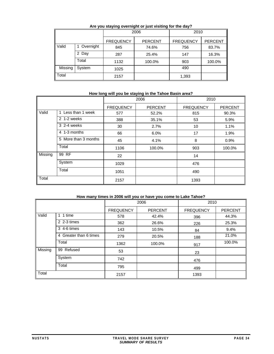|         |           |                  | 2006           | 2010             |                |
|---------|-----------|------------------|----------------|------------------|----------------|
|         |           | <b>FREQUENCY</b> | <b>PERCENT</b> | <b>FREQUENCY</b> | <b>PERCENT</b> |
| Valid   | Overnight | 845              | 74.6%          | 756              | 83.7%          |
|         | 2 Day     | 287              | 25.4%          | 147              | 16.3%          |
|         | Total     | 1132             | 100.0%         | 903              | 100.0%         |
| Missing | System    | 1025             |                | 490              |                |
| Total   |           | 2157             |                | 1,393            |                |

#### **Are you staying overnight or just visiting for the day?**

#### **How long will you be staying in the Tahoe Basin area?**

|         |                      |                  | 2006           | 2010             |                |
|---------|----------------------|------------------|----------------|------------------|----------------|
|         |                      | <b>FREQUENCY</b> | <b>PERCENT</b> | <b>FREQUENCY</b> | <b>PERCENT</b> |
| Valid   | 1 Less than 1 week   | 577              | 52.2%          | 815              | 90.3%          |
|         | 2 1-2 weeks          | 388              | 35.1%          | 53               | 5.9%           |
|         | 3 2-4 weeks          | 30               | 2.7%           | 10               | 1.1%           |
|         | 4 1-3 months         | 66               | 6.0%           | 17               | 1.9%           |
|         | 5 More than 3 months | 45               | 4.1%           | 8                | 0.9%           |
|         | Total                | 1106             | 100.0%         | 903              | 100.0%         |
| Missing | 99 RF                | 22               |                | 14               |                |
|         | System               | 1029             |                | 476              |                |
|         | Total                | 1051             |                | 490              |                |
| Total   |                      | 2157             |                | 1393             |                |

#### **How many times in 2006 will you or have you come to Lake Tahoe?**

|         |                        | 2006             |                | 2010             |                |
|---------|------------------------|------------------|----------------|------------------|----------------|
|         |                        | <b>FREQUENCY</b> | <b>PERCENT</b> | <b>FREQUENCY</b> | <b>PERCENT</b> |
| Valid   | time<br>1<br>1         | 578              | 42.4%          | 396              | 44.3%          |
|         | 2 2-3 times            | 362              | 26.6%          | 226              | 25.3%          |
|         | 3 4-6 times            | 143              | 10.5%          | 84               | 9.4%           |
|         | 4 Greater than 6 times | 279              | 20.5%          | 188              | 21.0%          |
|         | Total                  | 1362             | 100.0%         | 917              | 100.0%         |
| Missing | 99 Refused             | 53               |                | 23               |                |
|         | System                 | 742              |                | 476              |                |
|         | Total                  | 795              |                | 499              |                |
| Total   |                        | 2157             |                | 1393             |                |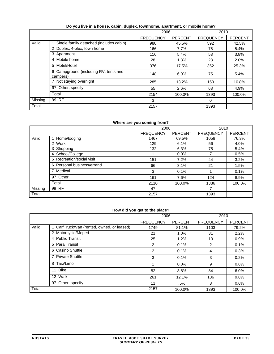|         |                                                   |                  | 2006           |                  | 2010           |
|---------|---------------------------------------------------|------------------|----------------|------------------|----------------|
|         |                                                   | <b>FREQUENCY</b> | <b>PERCENT</b> | <b>FREQUENCY</b> | <b>PERCENT</b> |
| Valid   | Single family detached (includes cabin)           | 980              | 45.5%          | 592              | 42.5%          |
|         | 2 Duplex, 4-plex, town home                       | 166              | 7.7%           | 75               | 5.4%           |
|         | 3 Apartment                                       | 116              | 5.4%           | 53               | 3.8%           |
|         | 4 Mobile home                                     | 28               | 1.3%           | 28               | 2.0%           |
|         | 5 Motel/Hotel                                     | 376              | 17.5%          | 352              | 25.3%          |
|         | 6 Campground (including RV, tents and<br>campers) | 148              | 6.9%           | 75               | 5.4%           |
|         | 7 Not staying overnight                           | 285              | 13.2%          | 150              | 10.8%          |
|         | 97 Other, specify                                 | 55               | 2.6%           | 68               | 4.9%           |
|         | Total                                             | 2154             | 100.0%         | 1393             | 100.0%         |
| Missing | 99 RF                                             | 3                |                | 0                |                |
| Total   |                                                   | 2157             |                | 1393             |                |

#### **Do you live in a house, cabin, duplex, townhome, apartment, or mobile home?**

#### **Where are you coming from?**

|         |                            | 2006             |                | 2010             |                |
|---------|----------------------------|------------------|----------------|------------------|----------------|
|         |                            | <b>FREQUENCY</b> | <b>PERCENT</b> | <b>FREQUENCY</b> | <b>PERCENT</b> |
| Valid   | 1 Home/lodging             | 1467             | 69.5%          | 1058             | 76.3%          |
|         | 2 Work                     | 129              | 6.1%           | 56               | 4.0%           |
|         | 3 Shopping                 | 132              | 6.3%           | 75               | 5.4%           |
|         | 4 School/College           |                  | 0.0%           |                  | 0.5%           |
|         | 5 Recreation/social visit  | 151              | 7.2%           | 44               | 3.2%           |
|         | 6 Personal business/errand | 66               | 3.1%           | 21               | 1.5%           |
|         | 7 Medical                  | 3                | 0.1%           |                  | 0.1%           |
|         | 97 Other                   | 161              | 7.6%           | 124              | 8.9%           |
|         | Total                      | 2110             | 100.0%         | 1386             | 100.0%         |
| Missing | 99 RF                      | 47               |                | 7                |                |
| Total   |                            | 2157             |                | 1393             |                |

#### **How did you get to the place?**

|       |                                            |                  | 2006    |                  | 2010           |
|-------|--------------------------------------------|------------------|---------|------------------|----------------|
|       |                                            | <b>FREQUENCY</b> | PERCENT | <b>FREQUENCY</b> | <b>PERCENT</b> |
| Valid | 1 Car/Truck/Van (rented, owned, or leased) | 1749             | 81.1%   | 1103             | 79.2%          |
|       | 2 Motorcycle/Moped                         | 21               | 1.0%    | 31               | 2.2%           |
|       | 4 Public Transit                           | 25               | 1.2%    | 13               | 0.9%           |
|       | 5 Para Transit                             | $\overline{2}$   | 0.1%    | 2                | 0.1%           |
|       | 6 Casino Shuttle                           | $\overline{2}$   | 0.1%    | 4                | 0.3%           |
|       | 7 Private Shuttle                          | 3                | 0.1%    | 3                | 0.2%           |
|       | 8 Taxi/Limo                                |                  | 0.0%    | 9                | 0.6%           |
|       | Bike<br>11                                 | 82               | 3.8%    | 84               | 6.0%           |
|       | 12 Walk                                    | 261              | 12.1%   | 136              | 9.8%           |
|       | 97 Other, specify                          | 11               | .5%     | 8                | 0.6%           |
| Total |                                            | 2157             | 100.0%  | 1393             | 100.0%         |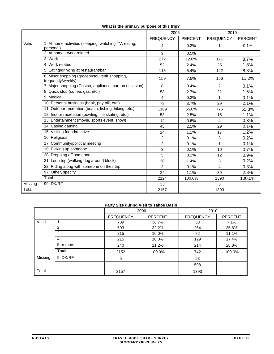|         |                                                                    | 2006             |                | 2010             |                |
|---------|--------------------------------------------------------------------|------------------|----------------|------------------|----------------|
|         |                                                                    | <b>FREQUENCY</b> | <b>PERCENT</b> | <b>FREQUENCY</b> | <b>PERCENT</b> |
| Valid   | 1 At home activities (sleeping, watching TV, eating,<br>personal)  | 4                | 0.2%           | 1                | 0.1%           |
|         | 2 At home - work related                                           | 3                | 0.1%           |                  |                |
|         | $\overline{3}$ Work                                                | 272              | 12.8%          | 121              | 8.7%           |
|         | 4 Work related                                                     | 52               | 2.4%           | 25               | 1.8%           |
|         | 5 Eating/drinking at restaurant/bar                                | 115              | 5.4%           | 122              | 8.8%           |
|         | 6 Minor shopping (grocery/souvenir shopping,<br>frequently/weekly) | 159              | 7.5%           | 156              | 11.2%          |
|         | 7 Major shopping (Costco, appliance, car, on occasion)             | 8                | 0.4%           | 2                | 0.1%           |
|         | 8 Quick stop (coffee, gas, etc.)                                   | 58               | 2.7%           | 21               | 1.5%           |
|         | 9 Medical                                                          | 4                | 0.2%           | 1                | 0.1%           |
|         | 10 Personal business (bank, pay bill, etc.)                        | 78               | 3.7%           | 29               | 2.1%           |
|         | 11 Outdoor recreation (beach, fishing, hiking, etc.)               | 1169             | 55.0%          | 775              | 55.8%          |
|         | 12 Indoor recreation (bowling, ice skating, etc.)                  | 53               | 2.5%           | 15               | 1.1%           |
|         | 13 Entertainment (movie, sports event, show)                       | 12               | 0.6%           | $\overline{4}$   | 0.3%           |
|         | 14 Casino gaming                                                   | 45               | 2.1%           | 29               | 2.1%           |
|         | 15 Visiting friend/relative                                        | 24               | 1.1%           | 17               | 1.2%           |
|         | 16 Religious                                                       | 2                | 0.1%           | 3                | 0.2%           |
|         | 17 Community/political meeting                                     | $\overline{2}$   | 0.1%           | 1                | 0.1%           |
|         | 19 Picking up someone                                              | 3                | 0.1%           | 10               | 0.7%           |
|         | 20 Dropping off someone                                            | 5                | 0.2%           | 12               | 0.9%           |
|         | 21 Loop trip (walking dog around block)                            | 30               | 1.4%           | 3                | 0.2%           |
|         | 22 Riding along with someone on their trip                         | $\overline{2}$   | 0.1%           | $\overline{4}$   | 0.3%           |
|         | 97 Other, specify                                                  | 24               | 1.1%           | 39               | 2.8%           |
|         | Total                                                              | 2124             | 100.0%         | 1390             | 100.0%         |
| Missing | 99 DK/RF                                                           | 33               |                | 3                |                |
| Total   |                                                                    | 2157             |                | 1393             |                |

#### **What is the primary purpose of this trip?**

# **Party Size during Visit to Tahoe Basin**

|         | Party Size during visit to Tance Basili |                  |                |                  |                |  |  |  |
|---------|-----------------------------------------|------------------|----------------|------------------|----------------|--|--|--|
|         |                                         |                  | 2006           | 2010             |                |  |  |  |
|         |                                         | <b>FREQUENCY</b> | <b>PERCENT</b> | <b>FREQUENCY</b> | <b>PERCENT</b> |  |  |  |
| Valid   | 1                                       | 789              | 36.7%          | 53               | 7.1%           |  |  |  |
|         | 2                                       | 693              | 32.2%          | 264              | 35.6%          |  |  |  |
|         | 3                                       | 215              | 10.0%          | 82               | 11.1%          |  |  |  |
|         | 4                                       | 215              | 10.0%          | 129              | 17.4%          |  |  |  |
|         | 5 or more                               | 240              | 11.2%          | 214              | 28.8%          |  |  |  |
|         | Total                                   | 2152             | 100.0%         | 742              | 100.0%         |  |  |  |
| Missing | 9 DK/RF                                 | 5                |                | 53               |                |  |  |  |
|         |                                         |                  |                | 598              |                |  |  |  |
| Total   |                                         | 2157             |                | 1393             |                |  |  |  |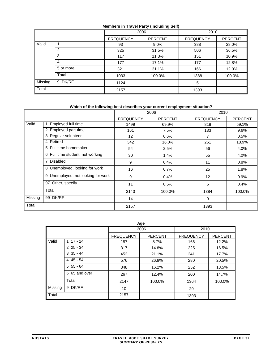#### **Members in Travel Party (Including Self)**

|         |           | 2006             |                | 2010             |                |
|---------|-----------|------------------|----------------|------------------|----------------|
|         |           | <b>FREQUENCY</b> | <b>PERCENT</b> | <b>FREQUENCY</b> | <b>PERCENT</b> |
| Valid   |           | 93               | $9.0\%$        | 388              | 28.0%          |
|         | 2         | 325              | 31.5%          | 506              | 36.5%          |
|         | 3         | 117              | 11.3%          | 151              | 10.9%          |
|         | 4         | 177              | 17.1%          | 177              | 12.8%          |
|         | 5 or more | 321              | 31.1%          | 166              | 12.0%          |
|         | Total     | 1033             | 100.0%         | 1388             | 100.0%         |
| Missing | 9 DK/RF   | 1124             |                | 5                |                |
| Total   |           | 2157             |                | 1393             |                |

#### **Which of the following best describes your current employment situation?**

|         |                                    |                  | 2006           | 2010             |                |  |
|---------|------------------------------------|------------------|----------------|------------------|----------------|--|
|         |                                    | <b>FREQUENCY</b> | <b>PERCENT</b> | <b>FREQUENCY</b> | <b>PERCENT</b> |  |
| Valid   | Employed full time                 | 1499             | 69.9%          | 818              | 59.1%          |  |
|         | 2 Employed part time               | 161              | 7.5%           | 133              | 9.6%           |  |
|         | 3 Regular volunteer                | 12               | 0.6%           |                  | 0.5%           |  |
|         | 4 Retired                          | 342              | 16.0%          | 261              | 18.9%          |  |
|         | 5 Full time homemaker              | 54               | 2.5%           | 56               | 4.0%           |  |
|         | 6 Full time student, not working   | 30               | 1.4%           | 55               | 4.0%           |  |
|         | <b>Disabled</b><br>7               | 9                | 0.4%           | 11               | 0.8%           |  |
|         | 8 Unemployed, looking for work     | 16               | 0.7%           | 25               | 1.8%           |  |
|         | 9 Unemployed, not looking for work | 9                | 0.4%           | 12               | 0.9%           |  |
|         | 97 Other, specify                  | 11               | 0.5%           | 6                | 0.4%           |  |
|         | Total                              | 2143             | 100.0%         | 1384             | 100.0%         |  |
| Missing | 99 DK/RF                           | 14               |                | 9                |                |  |
| Total   |                                    | 2157             |                | 1393             |                |  |

| Age     |               |                  |                |                  |                |  |  |  |
|---------|---------------|------------------|----------------|------------------|----------------|--|--|--|
|         |               |                  | 2006           | 2010             |                |  |  |  |
|         |               | <b>FREQUENCY</b> | <b>PERCENT</b> | <b>FREQUENCY</b> | <b>PERCENT</b> |  |  |  |
| Valid   | $117 - 24$    | 187              | 8.7%           | 166              | 12.2%          |  |  |  |
|         | $225 - 34$    | 317              | 14.8%          | 225              | 16.5%          |  |  |  |
|         | $3\,35 - 44$  | 452              | 21.1%          | 241              | 17.7%          |  |  |  |
|         | $445 - 54$    | 576              | 26.8%          | 280              | 20.5%          |  |  |  |
|         | $555 - 64$    | 348              | 16.2%          | 252              | 18.5%          |  |  |  |
|         | 6 65 and over | 267              | 12.4%          | 200              | 14.7%          |  |  |  |
|         | Total         | 2147             | 100.0%         | 1364             | 100.0%         |  |  |  |
| Missing | 9 DK/RF       | 10               |                | 29               |                |  |  |  |
| Total   |               | 2157             |                | 1393             |                |  |  |  |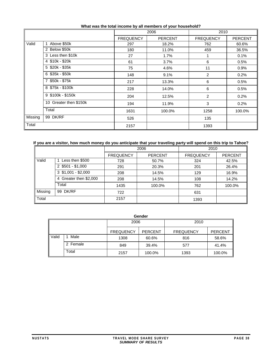|         |                        |                  | 2006           | 2010             |                |  |
|---------|------------------------|------------------|----------------|------------------|----------------|--|
|         |                        | <b>FREQUENCY</b> | <b>PERCENT</b> | <b>FREQUENCY</b> | <b>PERCENT</b> |  |
| Valid   | Above \$50k            | 297              | 18.2%          | 762              | 60.6%          |  |
|         | 2 Below \$50k          | 180              | 11.0%          | 459              | 36.5%          |  |
|         | 3 Less then \$10k      | 27               | 1.7%           |                  | 0.1%           |  |
|         | 4 \$10k - \$20k        | 61               | 3.7%           | 6                | 0.5%           |  |
|         | 5 \$20k - \$35k        | 75               | 4.6%           | 11               | 0.9%           |  |
|         | 6 \$35k - \$50k        | 148              | 9.1%           | $\overline{2}$   | 0.2%           |  |
|         | 7 \$50k - \$75k        | 217              | 13.3%          | 6                | 0.5%           |  |
|         | 8 \$75k - \$100k       | 228              | 14.0%          | 6                | 0.5%           |  |
|         | 9 \$100k - \$150k      | 204              | 12.5%          | 2                | 0.2%           |  |
|         | 10 Greater then \$150k | 194              | 11.9%          | 3                | 0.2%           |  |
|         | Total                  | 1631             | 100.0%         | 1258             | 100.0%         |  |
| Missing | 99 DK/RF               | 526              |                | 135              |                |  |
| Total   |                        | 2157             |                | 1393             |                |  |

#### **What was the total income by all members of your household?**

## **If you are a visitor, how much money do you anticipate that your traveling party will spend on this trip to Tahoe?**

|         |                        | 2006             |                | 2010             |                |
|---------|------------------------|------------------|----------------|------------------|----------------|
|         |                        | <b>FREQUENCY</b> | <b>PERCENT</b> | <b>FREQUENCY</b> | <b>PERCENT</b> |
| Valid   | Less then \$500        | 728              | 50.7%          | 324              | 42.5%          |
|         | $2$ \$501 - \$1,000    | 291              | 20.3%          | 201              | 26.4%          |
|         | $3$ \$1,001 - \$2,000  | 208              | 14.5%          | 129              | 16.9%          |
|         | 4 Greater then \$2,000 | 208              | 14.5%          | 108              | 14.2%          |
|         | Total                  | 1435             | 100.0%         | 762              | 100.0%         |
| Missing | 99 DK/RF               | 722              |                | 631              |                |
| Total   |                        | 2157             |                | 1393             |                |

|       |          |                  | Gender         |                  |                |
|-------|----------|------------------|----------------|------------------|----------------|
|       |          | 2006             |                | 2010             |                |
|       |          | <b>FREQUENCY</b> | <b>PERCENT</b> | <b>FREQUENCY</b> | <b>PERCENT</b> |
| Valid | Male     | 1308             | 60.6%          | 816              | 58.6%          |
|       | 2 Female | 849              | 39.4%          | 577              | 41.4%          |
|       | Total    | 2157             | 100.0%         | 1393             | 100.0%         |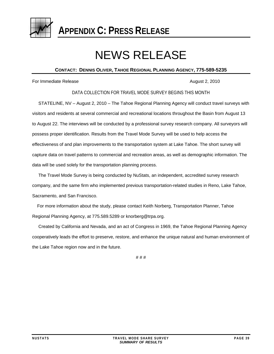<span id="page-42-1"></span><span id="page-42-0"></span>

**APPENDIX C: PRESS RELEASE**

# NEWS RELEASE

# **CONTACT: DENNIS OLIVER, TAHOE REGIONAL PLANNING AGENCY, 775-589-5235**

For Immediate Release August 2, 2010

DATA COLLECTION FOR TRAVEL MODE SURVEY BEGINS THIS MONTH

 STATELINE, NV – August 2, 2010 – The Tahoe Regional Planning Agency will conduct travel surveys with visitors and residents at several commercial and recreational locations throughout the Basin from August 13 to August 22. The interviews will be conducted by a professional survey research company. All surveyors will possess proper identification. Results from the Travel Mode Survey will be used to help access the effectiveness of and plan improvements to the transportation system at Lake Tahoe. The short survey will capture data on travel patterns to commercial and recreation areas, as well as demographic information. The data will be used solely for the transportation planning process.

 The Travel Mode Survey is being conducted by NuStats, an independent, accredited survey research company, and the same firm who implemented previous transportation-related studies in Reno, Lake Tahoe, Sacramento, and San Francisco.

 For more information about the study, please contact Keith Norberg, Transportation Planner, Tahoe Regional Planning Agency, at 775.589.5289 or knorberg@trpa.org.

 Created by California and Nevada, and an act of Congress in 1969, the Tahoe Regional Planning Agency cooperatively leads the effort to preserve, restore, and enhance the unique natural and human environment of the Lake Tahoe region now and in the future.

# # #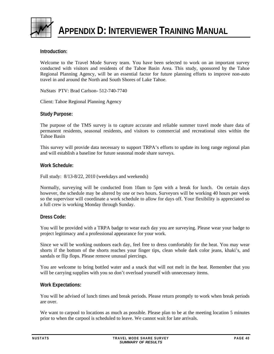<span id="page-43-1"></span><span id="page-43-0"></span>

# **Introduction:**

Welcome to the Travel Mode Survey team. You have been selected to work on an important survey conducted with visitors and residents of the Tahoe Basin Area. This study, sponsored by the Tahoe Regional Planning Agency, will be an essential factor for future planning efforts to improve non-auto travel in and around the North and South Shores of Lake Tahoe.

NuStats PTV: Brad Carlson- 512-740-7740

Client: Tahoe Regional Planning Agency

# **Study Purpose:**

The purpose of the TMS survey is to capture accurate and reliable summer travel mode share data of permanent residents, seasonal residents, and visitors to commercial and recreational sites within the Tahoe Basin

This survey will provide data necessary to support TRPA's efforts to update its long range regional plan and will establish a baseline for future seasonal mode share surveys.

#### **Work Schedule:**

Full study: 8/13-8/22, 2010 (weekdays and weekends)

Normally, surveying will be conducted from 10am to 5pm with a break for lunch. On certain days however, the schedule may be altered by one or two hours. Surveyors will be working 40 hours per week so the supervisor will coordinate a work schedule to allow for days off. Your flexibility is appreciated so a full crew is working Monday through Sunday.

#### **Dress Code:**

You will be provided with a TRPA badge to wear each day you are surveying. Please wear your badge to project legitimacy and a professional appearance for your work.

Since we will be working outdoors each day, feel free to dress comfortably for the heat. You may wear shorts if the bottom of the shorts reaches your finger tips, clean whole dark color jeans, khaki's, and sandals or flip flops. Please remove unusual piercings.

You are welcome to bring bottled water and a snack that will not melt in the heat. Remember that you will be carrying supplies with you so don't overload yourself with unnecessary items.

#### **Work Expectations:**

You will be advised of lunch times and break periods. Please return promptly to work when break periods are over.

We want to carpool to locations as much as possible. Please plan to be at the meeting location 5 minutes prior to when the carpool is scheduled to leave. We cannot wait for late arrivals.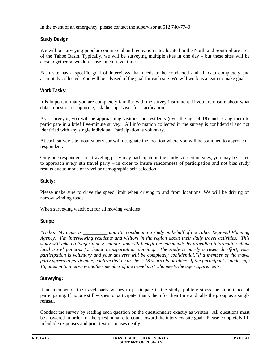In the event of an emergency, please contact the supervisor at 512 740-7740

# **Study Design:**

We will be surveying popular commercial and recreation sites located in the North and South Shore area of the Tahoe Basin. Typically, we will be surveying multiple sites in one day – but these sites will be close together so we don't lose much travel time.

Each site has a specific goal of interviews that needs to be conducted and all data completely and accurately collected. You will be advised of the goal for each site. We will work as a team to make goal.

# **Work Tasks:**

It is important that you are completely familiar with the survey instrument. If you are unsure about what data a question is capturing, ask the supervisor for clarification.

As a surveyor, you will be approaching visitors and residents (over the age of 18) and asking them to participate in a brief five-minute survey. All information collected in the survey is confidential and not identified with any single individual. Participation is voluntary.

At each survey site, your supervisor will designate the location where you will be stationed to approach a respondent.

Only one respondent in a traveling party may participate in the study. At certain sites, you may be asked to approach every nth travel party – in order to insure randomness of participation and not bias study results due to mode of travel or demographic self-selection.

# **Safety:**

Please make sure to drive the speed limit when driving to and from locations. We will be driving on narrow winding roads.

When surveying watch out for all moving vehicles

# **Script:**

*"Hello. My name is \_\_\_\_\_\_\_\_\_\_ and I'm conducting a study on behalf of the Tahoe Regional Planning Agency. I'm interviewing residents and visitors in the region about their daily travel activities. This study will take no longer than 5-minutes and will benefit the community by providing information about local travel patterns for better transportation planning. The study is purely a research effort, your participation is voluntary and your answers will be completely confidential."If a member of the travel party agrees to participate, confirm that he or she is 18 years old or older. If the participant is under age 18, attempt to interview another member of the travel part who meets the age requirements.*

# **Surveying:**

If no member of the travel party wishes to participate in the study, politely stress the importance of participating. If no one still wishes to participate, thank them for their time and tally the group as a single refusal.

Conduct the survey by reading each question on the questionnaire exactly as written. All questions must be answered in order for the questionnaire to count toward the interview site goal. Please completely fill in bubble responses and print text responses neatly.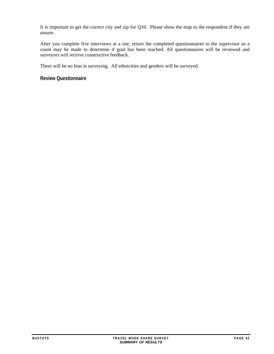It is important to get the correct city and zip for Q10. Please show the map to the respondent if they are unsure.

After you complete five interviews at a site, return the completed questionnaires to the supervisor so a count may be made to determine if goal has been reached. All questionnaires will be reviewed and surveyors will receive constructive feedback.

There will be no bias in surveying. All ethnicities and genders will be surveyed.

**Review Questionnaire**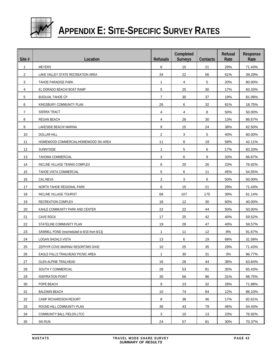<span id="page-46-0"></span>

# **APPENDIX E: SITE-SPECIFIC SURVEY RATES**

<span id="page-46-1"></span>

| Site #       | Location                                     | <b>Refusals</b> | Completed<br><b>Surveys</b> | Contacts | Refusal<br>Rate | Response<br>Rate |
|--------------|----------------------------------------------|-----------------|-----------------------------|----------|-----------------|------------------|
| $\mathbf{1}$ | <b>MEYERS</b>                                | 6               | 15                          | 21       | 29%             | 71.43%           |
| 2            | LAKE VALLEY STATE RECREATION AREA            | 34              | 22                          | 56       | 61%             | 39.29%           |
| 3            | TAHOE PARADISE PARK                          | $\mathbf{1}$    | 4                           | 5        | 20%             | 80.00%           |
| 4            | EL DORADO BEACH/ BOAT RAMP                   | 5               | 25                          | 30       | 17%             | 83.33%           |
| 5            | <b>BIJOU/AL TAHOE CP</b>                     | $\overline{7}$  | 30                          | 37       | 19%             | 81.08%           |
| 6            | KINGSBURY COMMUNITY PLAN                     | 26              | 6                           | 32       | 81%             | 18.75%           |
| 7            | SIERRA TRACT                                 | 4               | 4                           | 8        | 50%             | 50.00%           |
| 8            | REGAN BEACH                                  | 4               | 26                          | 30       | 13%             | 86.67%           |
| 9            | LAKESIDE BEACH/ MARINA                       | 9               | 15                          | 24       | 38%             | 62.50%           |
| 10           | <b>DOLLAR HILL</b>                           | $\overline{2}$  | 3                           | 5        | 40%             | 60.00%           |
| 11           | HOMEWOOD COMMERCIAL/HOMEWOOD SKI AREA        | 11              | 8                           | 19       | 58%             | 42.11%           |
| 12           | SUNNYSIDE                                    | $\mathbf{1}$    | 5                           | 6        | 17%             | 83.33%           |
| 13           | <b>TAHOMA COMMERCIAL</b>                     | 3               | 6                           | 9        | 33%             | 66.67%           |
| 14           | INCLINE VILLAGE TENNIS COMPLEX               | 6               | 20                          | 26       | 23%             | 76.92%           |
| 15           | TAHOE VISTA COMMERCIAL                       | 5               | 6                           | 11       | 45%             | 54.55%           |
| 16           | CAL-NEVA                                     | 3               | 3                           | 6        | 50%             | 50.00%           |
| 17           | NORTH TAHOE REGIONAL PARK                    | 6               | 15                          | 21       | 29%             | 71.43%           |
| 18           | INCLINE VILLAGE TOURIST                      | 68              | 107                         | 175      | 39%             | 61.14%           |
| 19           | RECREATION COMPLEX                           | 18              | 12                          | 30       | 60%             | 40.00%           |
| 20           | KAHLE COMMUNITY PARK AND CENTER              | 22              | 22                          | 44       | 50%             | 50.00%           |
| 21           | CAVE ROCK                                    | 17              | 25                          | 42       | 40%             | 59.52%           |
| 22           | STATELINE COMMUNITY PLAN                     | 19              | 28                          | 47       | 40%             | 59.57%           |
| 23           | SAWMILL POND (rescheduled to 8/16 from 8/13) | $\mathbf{1}$    | 11                          | 12       | 8%              | 91.67%           |
| 24           | LOGAN SHOALS VISTA                           | 13              | 6                           | 19       | 68%             | 31.58%           |
| 25           | ZEPHYR COVE MARINA/ RESORT/MS DIXIE          | 10              | 25                          | 35       | 29%             | 71.43%           |
| 26           | EAGLE FALLS TRAILHEAD/ PICNIC AREA           | $\mathbf{1}$    | 30                          | 31       | 3%              | 96.77%           |
| 27           | <b>GLEN ALPINE TRAILHEAD</b>                 | 16              | 28                          | 44       | 36%             | 63.64%           |
| 28           | SOUTH Y COMMERCIAL                           | 28              | 53                          | 81       | 35%             | 65.43%           |
| 29           | <b>INSPIRATION POINT</b>                     | 30              | 66                          | 96       | 31%             | 68.75%           |
| 30           | POPE BEACH                                   | 9               | 23                          | 32       | 28%             | 71.88%           |
| 31           | <b>BALDWIN BEACH</b>                         | 10              | 74                          | 84       | 12%             | 88.10%           |
| 32           | CAMP RICHARDSON RESORT                       | 8               | 38                          | 46       | 17%             | 82.61%           |
| 33           | ROUND HILL COMMUNITY PLAN                    | 36              | 43                          | 79       | 46%             | 54.43%           |
| 34           | COMMUNITY BALL FIELDS-LTCC                   | 3               | 10                          | 13       | 23%             | 76.92%           |
| 35           | <b>SKI RUN</b>                               | 24              | 57                          | 81       | 30%             | 70.37%           |